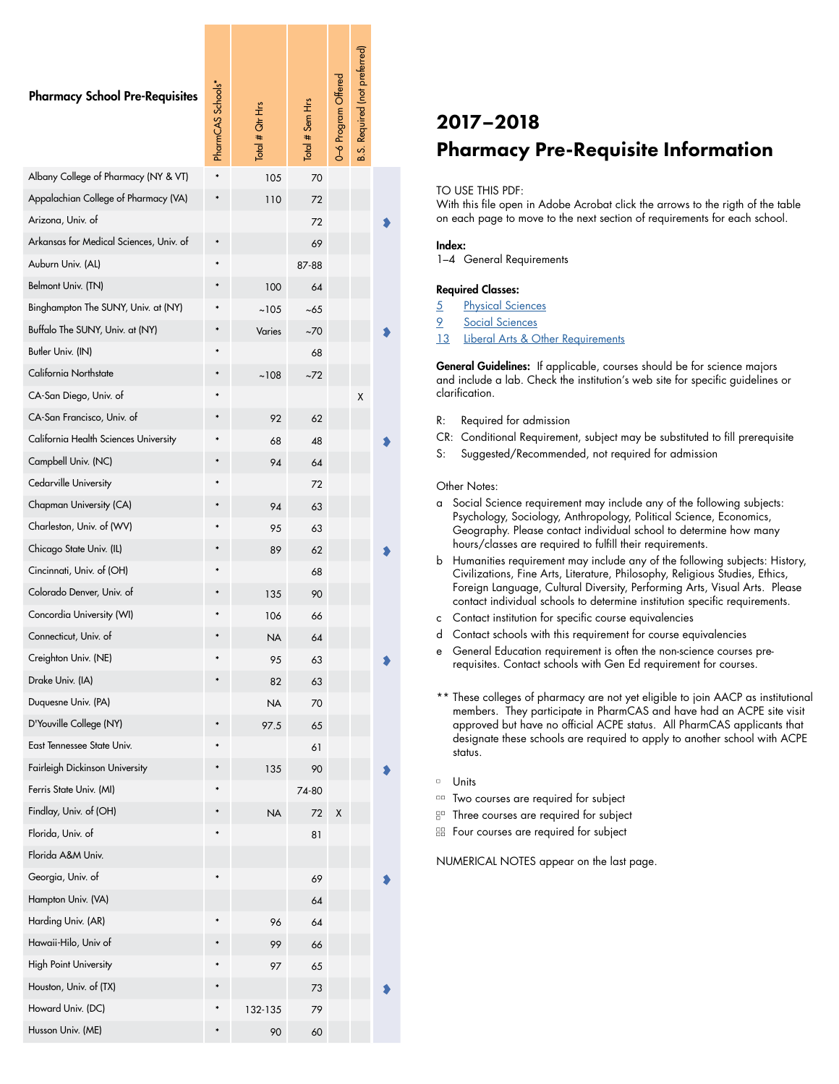| <b>Pharmacy School Pre-Requisites</b>   | PharmCAS Schools* | $\frac{1}{2}$ otel # $\frac{1}{2}$ ofer H <sub>rs</sub> | Total # Sem Hrs | 0-6 Program Offered | <b>B.S. Required (not preferred)</b> |  |
|-----------------------------------------|-------------------|---------------------------------------------------------|-----------------|---------------------|--------------------------------------|--|
| Albany College of Pharmacy (NY & VT)    |                   | 105                                                     | 70              |                     |                                      |  |
| Appalachian College of Pharmacy (VA)    |                   | 110                                                     | 72              |                     |                                      |  |
| Arizona, Univ. of                       |                   |                                                         | 72              |                     |                                      |  |
| Arkansas for Medical Sciences, Univ. of |                   |                                                         | 69              |                     |                                      |  |
| Auburn Univ. (AL)                       | $\ast$            |                                                         | 87-88           |                     |                                      |  |
| Belmont Univ. (TN)                      |                   | 100                                                     | 64              |                     |                                      |  |
| Binghampton The SUNY, Univ. at (NY)     |                   | ~105                                                    | ~65             |                     |                                      |  |
| Buffalo The SUNY, Univ. at (NY)         |                   | Varies                                                  | ~70             |                     |                                      |  |
| Butler Univ. (IN)                       |                   |                                                         | 68              |                     |                                      |  |
| California Northstate                   |                   | ~108                                                    | ~72             |                     |                                      |  |
| CA-San Diego, Univ. of                  |                   |                                                         |                 |                     | Χ                                    |  |
| CA-San Francisco, Univ. of              |                   | 92                                                      | 62              |                     |                                      |  |
| California Health Sciences University   |                   | 68                                                      | 48              |                     |                                      |  |
| Campbell Univ. (NC)                     |                   | 94                                                      | 64              |                     |                                      |  |
| Cedarville University                   |                   |                                                         | 72              |                     |                                      |  |
| Chapman University (CA)                 |                   | 94                                                      | 63              |                     |                                      |  |
| Charleston, Univ. of (WV)               |                   | 95                                                      | 63              |                     |                                      |  |
| Chicago State Univ. (IL)                |                   | 89                                                      | 62              |                     |                                      |  |
| Cincinnati, Univ. of (OH)               |                   |                                                         | 68              |                     |                                      |  |
| Colorado Denver, Univ. of               |                   | 135                                                     | 90              |                     |                                      |  |
| Concordia University (WI)               |                   | 106                                                     | 66              |                     |                                      |  |
| Connecticut, Univ. of                   |                   | <b>NA</b>                                               | 64              |                     |                                      |  |
| Creighton Univ. (NE)                    |                   | 95                                                      | 63              |                     |                                      |  |
| Drake Univ. (IA)                        |                   | 82                                                      | 63              |                     |                                      |  |
| Duquesne Univ. (PA)                     |                   | <b>NA</b>                                               | 70              |                     |                                      |  |
| D'Youville College (NY)                 |                   | 97.5                                                    | 65              |                     |                                      |  |
| East Tennessee State Univ.              |                   |                                                         | 61              |                     |                                      |  |
| Fairleigh Dickinson University          |                   | 135                                                     | 90              |                     |                                      |  |
| Ferris State Univ. (MI)                 |                   |                                                         | 74-80           |                     |                                      |  |
| Findlay, Univ. of (OH)                  |                   | <b>NA</b>                                               | 72              | Χ                   |                                      |  |
| Florida, Univ. of                       |                   |                                                         | 81              |                     |                                      |  |
| Florida A&M Univ.                       |                   |                                                         |                 |                     |                                      |  |
| Georgia, Univ. of                       |                   |                                                         | 69              |                     |                                      |  |
| Hampton Univ. (VA)                      |                   |                                                         | 64              |                     |                                      |  |
| Harding Univ. (AR)                      |                   | 96                                                      | 64              |                     |                                      |  |
| Hawaii-Hilo, Univ of                    |                   | 99                                                      | 66              |                     |                                      |  |
| <b>High Point University</b>            |                   | 97                                                      | 65              |                     |                                      |  |
| Houston, Univ. of (TX)                  |                   |                                                         | 73              |                     |                                      |  |
| Howard Univ. (DC)                       |                   | 132-135                                                 | 79              |                     |                                      |  |
| Husson Univ. (ME)                       |                   | 90                                                      | 60              |                     |                                      |  |

# 2017–2018 Pharmacy Pre-Requisite Information

## TO USE THIS PDF:

With this file open in Adobe Acrobat click the arrows to the rigth of the table on each page to move to the next section of requirements for each school.

## Index:

1–4 General Requirements

# Required Classes:

- 5 [Physical Sciences](#page-4-0)
- 9 [Social Sciences](#page-8-0)
- [13](#page-12-0) [Liberal Arts & Other Requirements](#page-12-0)

General Guidelines: If applicable, courses should be for science majors and include a lab. Check the institution's web site for specific guidelines or clarification.

- R: Required for admission
- CR: Conditional Requirement, subject may be substituted to fill prerequisite
- S: Suggested/Recommended, not required for admission

#### Other Notes:

- a Social Science requirement may include any of the following subjects: Psychology, Sociology, Anthropology, Political Science, Economics, Geography. Please contact individual school to determine how many hours/classes are required to fulfill their requirements.
- b Humanities requirement may include any of the following subjects: History, Civilizations, Fine Arts, Literature, Philosophy, Religious Studies, Ethics, Foreign Language, Cultural Diversity, Performing Arts, Visual Arts. Please contact individual schools to determine institution specific requirements.
- c Contact institution for specific course equivalencies
- d Contact schools with this requirement for course equivalencies
- e General Education requirement is often the non-science courses prerequisites. Contact schools with Gen Ed requirement for courses.
- \*\* These colleges of pharmacy are not yet eligible to join AACP as institutional members. They participate in PharmCAS and have had an ACPE site visit approved but have no official ACPE status. All PharmCAS applicants that designate these schools are required to apply to another school with ACPE status.
- $\Box$ Units
- **DO Two courses are required for subject**
- **E<sup>D</sup>** Three courses are required for subject
- **EB** Four courses are required for subject

NUMERICAL NOTES appear on the last page.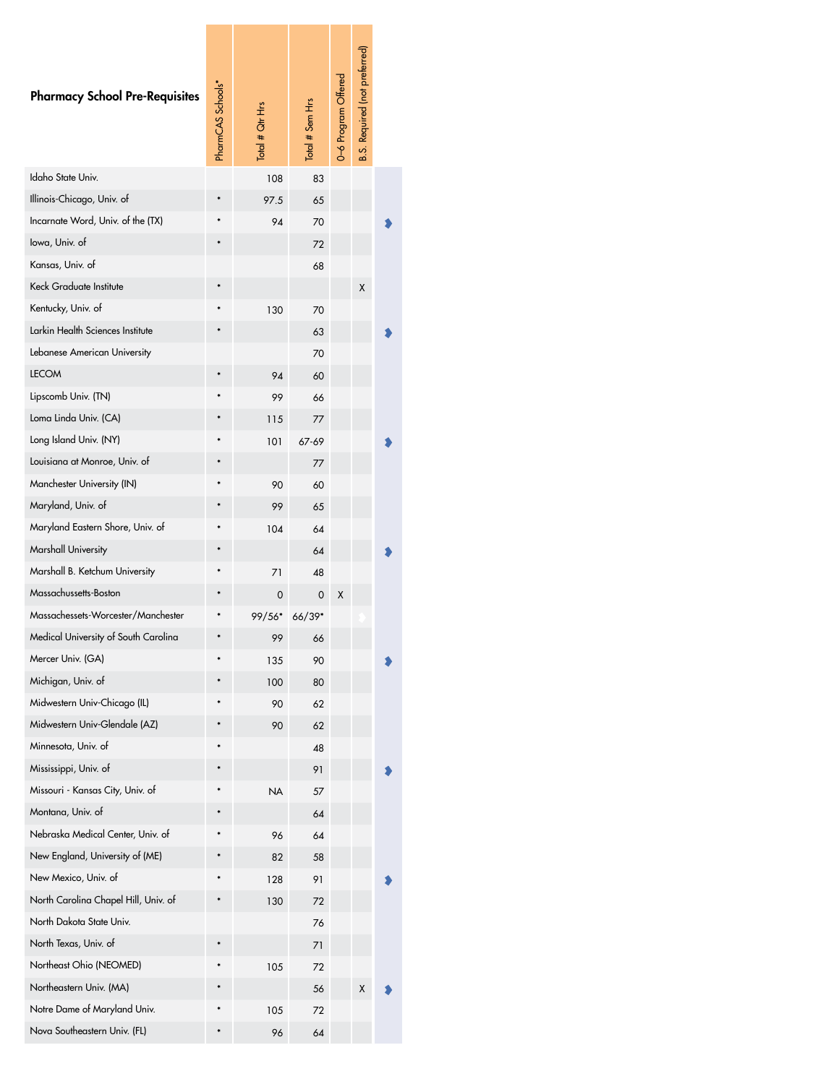| <b>Pharmacy School Pre-Requisites</b> | PharmCAS Schools* | Lote # lotel | Total # Sem Hrs | 0-6 Program Offered | Required (not preferred)<br><b>B.S.</b> |  |
|---------------------------------------|-------------------|--------------|-----------------|---------------------|-----------------------------------------|--|
| Idaho State Univ.                     |                   | 108          | 83              |                     |                                         |  |
| Illinois-Chicago, Univ. of            |                   | 97.5         | 65              |                     |                                         |  |
| Incarnate Word, Univ. of the (TX)     |                   | 94           | 70              |                     |                                         |  |
| lowa, Univ. of                        |                   |              | 72              |                     |                                         |  |
| Kansas, Univ. of                      |                   |              | 68              |                     |                                         |  |
| Keck Graduate Institute               |                   |              |                 |                     | X                                       |  |
| Kentucky, Univ. of                    |                   | 130          | 70              |                     |                                         |  |
| Larkin Health Sciences Institute      |                   |              | 63              |                     |                                         |  |
| Lebanese American University          |                   |              | 70              |                     |                                         |  |
| <b>LECOM</b>                          |                   | 94           | 60              |                     |                                         |  |
| Lipscomb Univ. (TN)                   |                   | 99           | 66              |                     |                                         |  |
| Loma Linda Univ. (CA)                 |                   | 115          | 77              |                     |                                         |  |
| Long Island Univ. (NY)                |                   | 101          | 67-69           |                     |                                         |  |
| Louisiana at Monroe, Univ. of         |                   |              | 77              |                     |                                         |  |
| Manchester University (IN)            |                   | 90           | 60              |                     |                                         |  |
| Maryland, Univ. of                    |                   | 99           | 65              |                     |                                         |  |
| Maryland Eastern Shore, Univ. of      |                   | 104          | 64              |                     |                                         |  |
| Marshall University                   |                   |              | 64              |                     |                                         |  |
| Marshall B. Ketchum University        |                   | 71           | 48              |                     |                                         |  |
| Massachussetts-Boston                 |                   | 0            | 0               | Χ                   |                                         |  |
| Massachessets-Worcester/Manchester    |                   | 99/56*       | 66/39*          |                     |                                         |  |
| Medical University of South Carolina  |                   | 99           | 66              |                     |                                         |  |
| Mercer Univ. (GA)                     |                   | 135          | 90              |                     |                                         |  |
| Michigan, Univ. of                    |                   | 100          | 80              |                     |                                         |  |
| Midwestern Univ-Chicago (IL)          |                   | 90           | 62              |                     |                                         |  |
| Midwestern Univ-Glendale (AZ)         |                   | 90           | 62              |                     |                                         |  |
| Minnesota, Univ. of                   |                   |              | 48              |                     |                                         |  |
| Mississippi, Univ. of                 |                   |              | 91              |                     |                                         |  |
| Missouri - Kansas City, Univ. of      |                   | ΝA           | 57              |                     |                                         |  |
| Montana, Univ. of                     |                   |              | 64              |                     |                                         |  |
| Nebraska Medical Center, Univ. of     |                   | 96           | 64              |                     |                                         |  |
| New England, University of (ME)       |                   | 82           | 58              |                     |                                         |  |
| New Mexico, Univ. of                  |                   | 128          | 91              |                     |                                         |  |
| North Carolina Chapel Hill, Univ. of  |                   | 130          | 72              |                     |                                         |  |
| North Dakota State Univ.              |                   |              | 76              |                     |                                         |  |
| North Texas, Univ. of                 |                   |              | 71              |                     |                                         |  |
| Northeast Ohio (NEOMED)               |                   | 105          | 72              |                     |                                         |  |
| Northeastern Univ. (MA)               |                   |              | 56              |                     | Χ                                       |  |
| Notre Dame of Maryland Univ.          |                   | 105          | 72              |                     |                                         |  |
| Nova Southeastern Univ. (FL)          |                   | 96           | 64              |                     |                                         |  |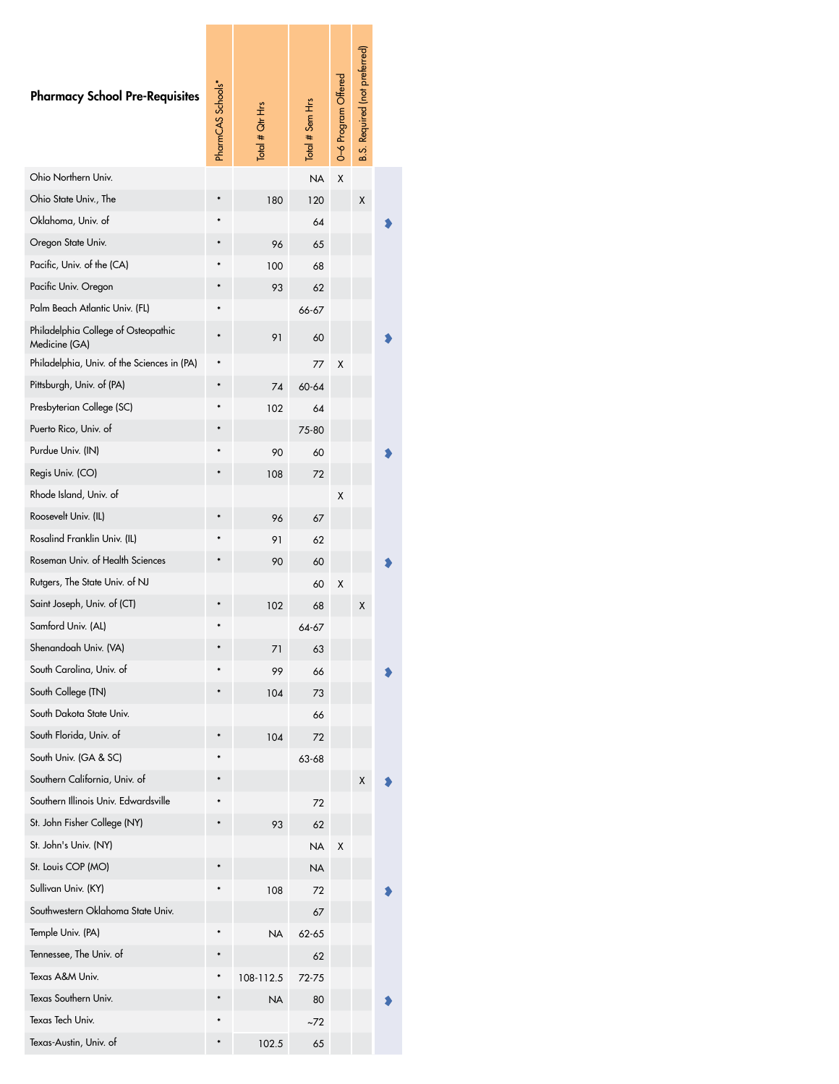| <b>Pharmacy School Pre-Requisites</b>                | PharmCAS Schools* | $\frac{1}{10}$ to $\frac{4}{10}$ Ghr Hrs | Total # Sem Hrs | 0-6 Program Offered | <b>B.S. Required (not preferred)</b> |  |
|------------------------------------------------------|-------------------|------------------------------------------|-----------------|---------------------|--------------------------------------|--|
| Ohio Northern Univ.                                  |                   |                                          | <b>NA</b>       | X                   |                                      |  |
| Ohio State Univ., The                                |                   | 180                                      | 120             |                     | Χ                                    |  |
| Oklahoma, Univ. of                                   |                   |                                          | 64              |                     |                                      |  |
| Oregon State Univ.                                   |                   | 96                                       | 65              |                     |                                      |  |
| Pacific, Univ. of the (CA)                           |                   | 100                                      | 68              |                     |                                      |  |
| Pacific Univ. Oregon                                 |                   | 93                                       | 62              |                     |                                      |  |
| Palm Beach Atlantic Univ. (FL)                       |                   |                                          | 66-67           |                     |                                      |  |
| Philadelphia College of Osteopathic<br>Medicine (GA) |                   | 91                                       | 60              |                     |                                      |  |
| Philadelphia, Univ. of the Sciences in (PA)          |                   |                                          | 77              | Χ                   |                                      |  |
| Pittsburgh, Univ. of (PA)                            |                   | 74                                       | 60-64           |                     |                                      |  |
| Presbyterian College (SC)                            |                   | 102                                      | 64              |                     |                                      |  |
| Puerto Rico, Univ. of                                |                   |                                          | 75-80           |                     |                                      |  |
| Purdue Univ. (IN)                                    |                   | 90                                       | 60              |                     |                                      |  |
| Regis Univ. (CO)                                     |                   | 108                                      | 72              |                     |                                      |  |
| Rhode Island, Univ. of                               |                   |                                          |                 | Χ                   |                                      |  |
| Roosevelt Univ. (IL)                                 |                   | 96                                       | 67              |                     |                                      |  |
| Rosalind Franklin Univ. (IL)                         |                   | 91                                       | 62              |                     |                                      |  |
| Roseman Univ. of Health Sciences                     |                   | 90                                       | 60              |                     |                                      |  |
| Rutgers, The State Univ. of NJ                       |                   |                                          | 60              | Χ                   |                                      |  |
| Saint Joseph, Univ. of (CT)                          |                   | 102                                      | 68              |                     | Χ                                    |  |
| Samford Univ. (AL)                                   |                   |                                          | 64-67           |                     |                                      |  |
| Shenandoah Univ. (VA)                                |                   | 71                                       | 63              |                     |                                      |  |
| South Carolina, Univ. of                             |                   | 99                                       | 66              |                     |                                      |  |
| South College (TN)                                   |                   | 104                                      | 73              |                     |                                      |  |
| South Dakota State Univ.                             |                   |                                          | 66              |                     |                                      |  |
| South Florida, Univ. of                              |                   | 104                                      | 72              |                     |                                      |  |
| South Univ. (GA & SC)                                |                   |                                          | 63-68           |                     |                                      |  |
| Southern California, Univ. of                        |                   |                                          |                 |                     | Χ                                    |  |
| Southern Illinois Univ. Edwardsville                 |                   |                                          | 72              |                     |                                      |  |
| St. John Fisher College (NY)                         |                   | 93                                       | 62              |                     |                                      |  |
| St. John's Univ. (NY)                                |                   |                                          | NΑ              | Χ                   |                                      |  |
| St. Louis COP (MO)                                   |                   |                                          | <b>NA</b>       |                     |                                      |  |
| Sullivan Univ. (KY)                                  |                   | 108                                      | 72              |                     |                                      |  |
| Southwestern Oklahoma State Univ.                    |                   |                                          | 67              |                     |                                      |  |
| Temple Univ. (PA)                                    |                   | <b>NA</b>                                | 62-65           |                     |                                      |  |
| Tennessee, The Univ. of                              |                   |                                          | 62              |                     |                                      |  |
| Texas A&M Univ.                                      |                   | 108-112.5                                | 72-75           |                     |                                      |  |
| Texas Southern Univ.                                 |                   | <b>NA</b>                                | 80              |                     |                                      |  |
| Texas Tech Univ.                                     |                   |                                          | ~72             |                     |                                      |  |
| Texas-Austin, Univ. of                               |                   | 102.5                                    | 65              |                     |                                      |  |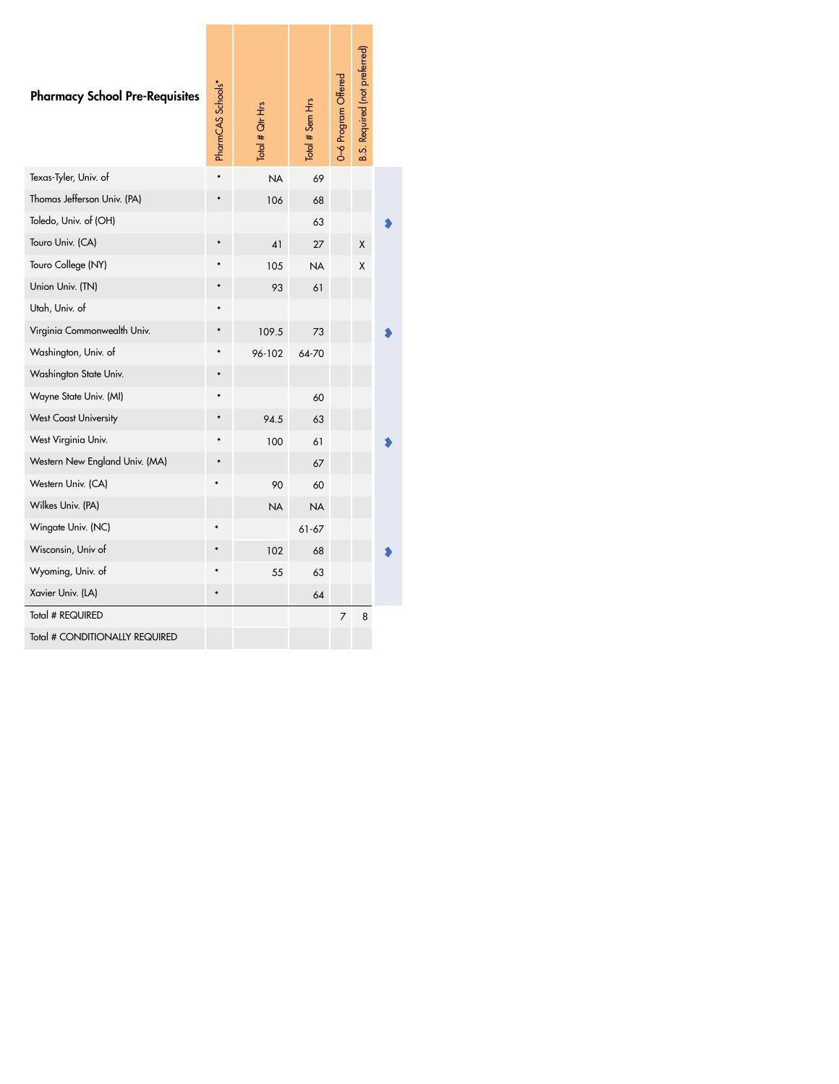| $\ast$ | <b>NA</b><br>106<br>41<br>105<br>93<br>109.5<br>96-102 | 69<br>68<br>63<br>27<br><b>NA</b><br>61<br>73<br>64-70 |   | Χ<br>Χ |  |
|--------|--------------------------------------------------------|--------------------------------------------------------|---|--------|--|
|        |                                                        |                                                        |   |        |  |
|        |                                                        |                                                        |   |        |  |
|        |                                                        |                                                        |   |        |  |
|        |                                                        |                                                        |   |        |  |
|        |                                                        |                                                        |   |        |  |
|        |                                                        |                                                        |   |        |  |
|        |                                                        |                                                        |   |        |  |
|        |                                                        |                                                        |   |        |  |
|        |                                                        |                                                        |   |        |  |
|        |                                                        |                                                        |   |        |  |
|        |                                                        | 60                                                     |   |        |  |
|        | 94.5                                                   | 63                                                     |   |        |  |
|        | 100                                                    | 61                                                     |   |        |  |
|        |                                                        | 67                                                     |   |        |  |
|        | 90                                                     | 60                                                     |   |        |  |
|        | <b>NA</b>                                              | <b>NA</b>                                              |   |        |  |
|        |                                                        | $61 - 67$                                              |   |        |  |
|        | 102                                                    | 68                                                     |   |        |  |
|        | 55                                                     | 63                                                     |   |        |  |
|        |                                                        | 64                                                     |   |        |  |
|        |                                                        |                                                        | 7 | 8      |  |
|        |                                                        |                                                        |   |        |  |
|        |                                                        |                                                        |   |        |  |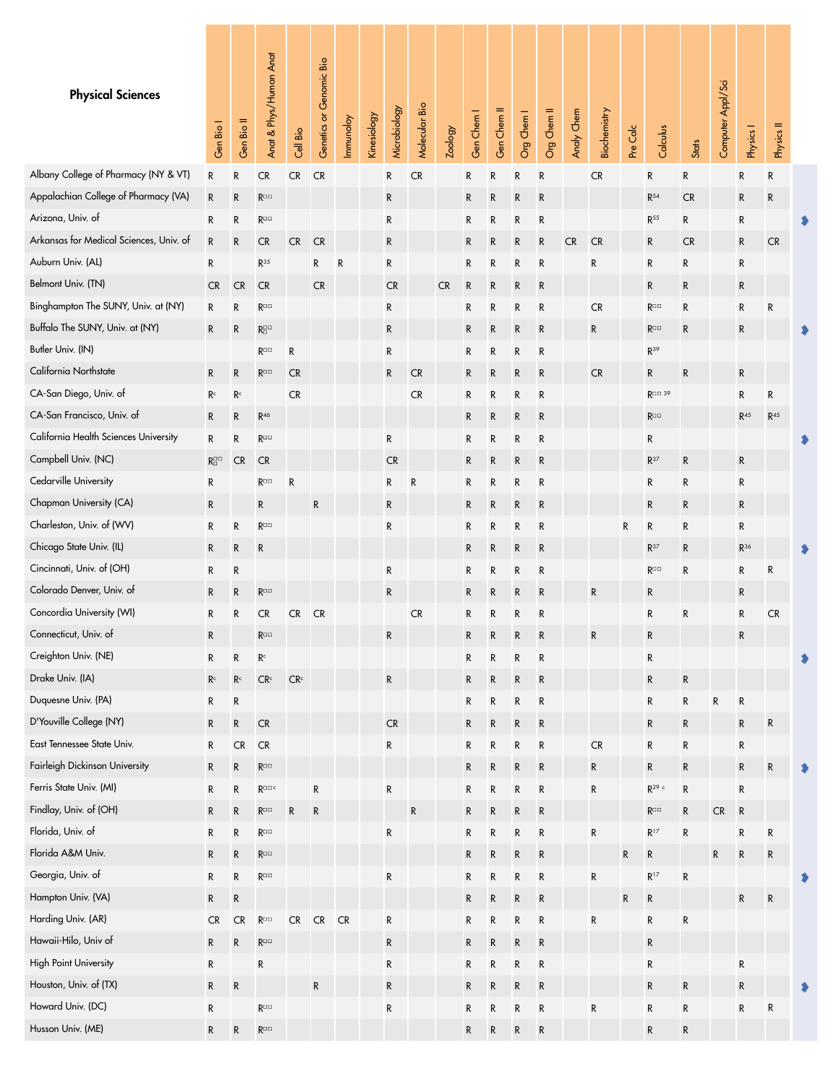<span id="page-4-0"></span>

| <b>Physical Sciences</b>                | Gen Bio I             | Gen Bio II              | Anat & Phys/Human Anat             | Cell Bio        | Genetics or Genomic Bio | Immunoloy | Kinesiology | Microbiology | Molecular Bio | <b>Zoology</b> | Gen Chem I  | Gen Chem II | Org Chem I | Org Chem II | Analy Chem | Biochemistry | Pre Calc  | Calculus                   | Stats        | Computer Appl/Sci | Physics I       | Physics II        |  |
|-----------------------------------------|-----------------------|-------------------------|------------------------------------|-----------------|-------------------------|-----------|-------------|--------------|---------------|----------------|-------------|-------------|------------|-------------|------------|--------------|-----------|----------------------------|--------------|-------------------|-----------------|-------------------|--|
| Albany College of Pharmacy (NY & VT)    | R                     | R                       | <b>CR</b>                          | CR              | <b>CR</b>               |           |             | R            | <b>CR</b>     |                | R           | R           | R          | R           |            | CR           |           | R                          | R            |                   | R               | R                 |  |
| Appalachian College of Pharmacy (VA)    | $\mathsf R$           | ${\sf R}$               | $R^{\square\,\square}$             |                 |                         |           |             | ${\sf R}$    |               |                | ${\sf R}$   | R           | R          | ${\sf R}$   |            |              |           | $\mathsf{R}^{54}$          | <b>CR</b>    |                   | R               | R                 |  |
| Arizona, Univ. of                       | R                     | R                       | $R^{\Box\Box}$                     |                 |                         |           |             | R            |               |                | R           | R           | R          | ${\sf R}$   |            |              |           | $R^{55}$                   | R            |                   | R               |                   |  |
| Arkansas for Medical Sciences, Univ. of | ${\sf R}$             | ${\sf R}$               | <b>CR</b>                          | ${\sf CR}$      | <b>CR</b>               |           |             | R            |               |                | R           | R           | R          | ${\sf R}$   | <b>CR</b>  | <b>CR</b>    |           | R                          | <b>CR</b>    |                   | $\mathsf{R}$    | CR                |  |
| Auburn Univ. (AL)                       | R                     |                         | $R^{35}$                           |                 | R                       | R         |             | R            |               |                | R           | R           | R          | ${\sf R}$   |            | ${\sf R}$    |           | $\mathsf R$                | R            |                   | R               |                   |  |
| Belmont Univ. (TN)                      | <b>CR</b>             | <b>CR</b>               | ${\sf CR}$                         |                 | <b>CR</b>               |           |             | <b>CR</b>    |               | <b>CR</b>      | ${\sf R}$   | R           | R          | R           |            |              |           | ${\sf R}$                  | R            |                   | R               |                   |  |
| Binghampton The SUNY, Univ. at (NY)     | ${\sf R}$             | R                       | $R^{\Box\Box}$                     |                 |                         |           |             | R            |               |                | R           | R           | R          | ${\sf R}$   |            | ${\sf CR}$   |           | $R^{\Box\Box}$             | R            |                   | ${\sf R}$       | R                 |  |
| Buffalo The SUNY, Univ. at (NY)         | R                     | ${\sf R}$               | $R^{\square\,\square}_{\square}$   |                 |                         |           |             | R            |               |                | R           | R           | R          | ${\sf R}$   |            | ${\sf R}$    |           | $R^{\Box\Box}$             | R            |                   | ${\sf R}$       |                   |  |
| Butler Univ. (IN)                       |                       |                         | $R^{\Box\Box}$                     | ${\sf R}$       |                         |           |             | R            |               |                | R           | R           | R          | ${\sf R}$   |            |              |           | $R^{39}$                   |              |                   |                 |                   |  |
| California Northstate                   | ${\sf R}$             | ${\sf R}$               | $R^{\Box\Box}$                     | CR              |                         |           |             | R            | <b>CR</b>     |                | R           | R           | R          | R           |            | ${\sf CR}$   |           | ${\sf R}$                  | $\mathsf{R}$ |                   | R               |                   |  |
| CA-San Diego, Univ. of                  | R <sup>c</sup>        | $\mathsf{R}^\mathsf{c}$ |                                    | CR              |                         |           |             |              | <b>CR</b>     |                | R           | R           | R          | ${\sf R}$   |            |              |           | $R^{\Box\Box}$ 39          |              |                   | R               | R                 |  |
| CA-San Francisco, Univ. of              | ${\sf R}$             | R                       | R <sup>46</sup>                    |                 |                         |           |             |              |               |                | R           | R           | R          | R           |            |              |           | $R^{\square\square}$       |              |                   | R <sup>45</sup> | $\mathsf{R}^{45}$ |  |
| California Health Sciences University   | ${\sf R}$             | R                       | $R^{\Box\Box}$                     |                 |                         |           |             | R            |               |                | R           | R           | R          | ${\sf R}$   |            |              |           | R                          |              |                   |                 |                   |  |
| Campbell Univ. (NC)                     | $R_{\Box}^{\Box\Box}$ | <b>CR</b>               | CR                                 |                 |                         |           |             | CR           |               |                | R           | R           | R          | ${\sf R}$   |            |              |           | $R^{37}$                   | R            |                   | R               |                   |  |
| Cedarville University                   | ${\sf R}$             |                         | $R^{\Box\Box}$                     | ${\sf R}$       |                         |           |             | R            | R             |                | R           | R           | R          | ${\sf R}$   |            |              |           | R                          | R            |                   | R               |                   |  |
| Chapman University (CA)                 | ${\sf R}$             |                         | $\mathsf{R}$                       |                 | $\mathsf{R}$            |           |             | R            |               |                | ${\sf R}$   | R           | R          | R           |            |              |           | $\mathsf R$                | R            |                   | R               |                   |  |
| Charleston, Univ. of (WV)               | R                     | R                       | $R^{\Box\Box}$                     |                 |                         |           |             | $\mathsf R$  |               |                | R           | R           | R          | ${\sf R}$   |            |              | R         | R                          | R            |                   | R               |                   |  |
| Chicago State Univ. (IL)                | R                     | R                       | R                                  |                 |                         |           |             |              |               |                | R           | R           | R          | R           |            |              |           | $R^{37}$                   | $\mathsf{R}$ |                   | $R^{36}$        |                   |  |
| Cincinnati, Univ. of (OH)               | R                     | R                       |                                    |                 |                         |           |             | $\mathsf R$  |               |                | R           | R           | R          | ${\sf R}$   |            |              |           | $R^{\square\,\square}$     | R            |                   | ${\sf R}$       | R                 |  |
| Colorado Denver, Univ. of               | $\mathsf R$           | ${\sf R}$               | $\mathsf{R}^{\square\,\square}$    |                 |                         |           |             | $\mathsf R$  |               |                | R           | R           | R          | ${\sf R}$   |            | ${\sf R}$    |           | R                          |              |                   | R               |                   |  |
| Concordia University (WI)               | ${\sf R}$             | R                       | <b>CR</b>                          | CR              | <b>CR</b>               |           |             |              | <b>CR</b>     |                | R           | R           | R          | R           |            |              |           | R                          | R            |                   | ${\sf R}$       | CR                |  |
| Connecticut, Univ. of                   | R                     |                         | $R^{\square\hspace{0.3mm}\square}$ |                 |                         |           |             | R            |               |                | R           | R           | R          | R           |            | R            |           | R                          |              |                   | R               |                   |  |
| Creighton Univ. (NE)                    | R                     | R                       | $\mathsf{R}^\mathsf{c}$            |                 |                         |           |             |              |               |                | R           | ${\sf R}$   | ${\sf R}$  | ${\sf R}$   |            |              |           | R                          |              |                   |                 |                   |  |
| Drake Univ. (IA)                        | R <sup>c</sup>        | $\mathsf{R}^\mathsf{c}$ | $\mathsf{CR}^\mathsf{c}$           | CR <sup>c</sup> |                         |           |             | ${\sf R}$    |               |                | $\mathsf R$ | R           | R          | ${\sf R}$   |            |              |           | R                          | ${\sf R}$    |                   |                 |                   |  |
| Duquesne Univ. (PA)                     | ${\sf R}$             | ${\sf R}$               |                                    |                 |                         |           |             |              |               |                | ${\sf R}$   | R           | R          | ${\sf R}$   |            |              |           | R                          | ${\sf R}$    | R                 | ${\sf R}$       |                   |  |
| D'Youville College (NY)                 | ${\sf R}$             | $\mathsf{R}$            | ${\sf CR}$                         |                 |                         |           |             | ${\sf CR}$   |               |                | ${\sf R}$   | R           | ${\sf R}$  | ${\sf R}$   |            |              |           | ${\sf R}$                  | ${\sf R}$    |                   | ${\sf R}$       | R                 |  |
| East Tennessee State Univ.              | R                     | CR                      | ${\sf CR}$                         |                 |                         |           |             | R            |               |                | ${\sf R}$   | R           | R          | ${\sf R}$   |            | ${\sf CR}$   |           | R                          | ${\sf R}$    |                   | R               |                   |  |
| Fairleigh Dickinson University          | ${\sf R}$             | R                       | $\mathsf{R}^{\square\,\square}$    |                 |                         |           |             |              |               |                | ${\sf R}$   | R           | ${\sf R}$  | ${\sf R}$   |            | ${\sf R}$    |           | ${\sf R}$                  | ${\sf R}$    |                   | $\mathsf{R}$    | R                 |  |
| Ferris State Univ. (MI)                 | R                     | R                       | $\mathsf{R}^{\square\,\square\,c}$ |                 | ${\sf R}$               |           |             | ${\sf R}$    |               |                | ${\sf R}$   | ${\sf R}$   | R          | ${\sf R}$   |            | ${\sf R}$    |           | $\mathsf{R}^{29}$ $^\circ$ | ${\sf R}$    |                   | ${\sf R}$       |                   |  |
| Findlay, Univ. of (OH)                  | R                     | $\mathsf{R}$            | $\mathsf{R}^{\square\,\square}$    | ${\sf R}$       | R                       |           |             |              | ${\sf R}$     |                | $\mathsf R$ | R           | R          | ${\sf R}$   |            |              |           | $R^{\square\square}$       | ${\sf R}$    | CR                | ${\sf R}$       |                   |  |
| Florida, Univ. of                       | ${\sf R}$             | ${\sf R}$               | $\mathsf{R}^{\square\,\square}$    |                 |                         |           |             | ${\sf R}$    |               |                | ${\sf R}$   | R           | R          | ${\sf R}$   |            | ${\sf R}$    |           | $R^{17}$                   | ${\sf R}$    |                   | ${\sf R}$       | R                 |  |
| Florida A&M Univ.                       | ${\sf R}$             | ${\sf R}$               | $\mathsf{R}^{\square\,\square}$    |                 |                         |           |             |              |               |                | ${\sf R}$   | R           | ${\sf R}$  | ${\sf R}$   |            |              | ${\sf R}$ | R                          |              | R                 | ${\sf R}$       | ${\sf R}$         |  |
| Georgia, Univ. of                       | R                     | R                       | $R^{\Box\Box}$                     |                 |                         |           |             | ${\sf R}$    |               |                | ${\sf R}$   | R           | R          | ${\sf R}$   |            | ${\sf R}$    |           | $\mathsf{R}^{17}$          | ${\sf R}$    |                   |                 |                   |  |
| Hampton Univ. (VA)                      | ${\sf R}$             | ${\sf R}$               |                                    |                 |                         |           |             |              |               |                | ${\sf R}$   | R           | ${\sf R}$  | ${\sf R}$   |            |              | ${\sf R}$ | R                          |              |                   | ${\sf R}$       | R                 |  |
| Harding Univ. (AR)                      | <b>CR</b>             | CR                      | $\mathsf{R}^{\square\,\square}$    | ${\sf CR}$      | ${\sf CR}$              | <b>CR</b> |             | ${\sf R}$    |               |                | R           | ${\sf R}$   | R          | ${\sf R}$   |            | ${\sf R}$    |           | R                          | ${\sf R}$    |                   |                 |                   |  |
| Hawaii-Hilo, Univ of                    | $\mathsf{R}$          | R                       | $\mathsf{R}^{\square\,\square}$    |                 |                         |           |             | ${\sf R}$    |               |                | $\mathsf R$ | R           | R          | R           |            |              |           | R                          |              |                   |                 |                   |  |
| <b>High Point University</b>            | R                     |                         | R                                  |                 |                         |           |             | ${\sf R}$    |               |                | ${\sf R}$   | ${\sf R}$   | R          | ${\sf R}$   |            |              |           | R                          |              |                   | ${\sf R}$       |                   |  |
| Houston, Univ. of (TX)                  | ${\sf R}$             | ${\sf R}$               |                                    |                 | R                       |           |             | ${\sf R}$    |               |                | ${\sf R}$   | ${\sf R}$   | ${\sf R}$  | ${\sf R}$   |            |              |           | ${\sf R}$                  | ${\sf R}$    |                   | ${\sf R}$       |                   |  |
| Howard Univ. (DC)                       | R                     |                         | $R^{\Box\Box}$                     |                 |                         |           |             | R            |               |                | ${\sf R}$   | R           | R          | ${\sf R}$   |            | ${\sf R}$    |           | R                          | R            |                   | ${\sf R}$       | ${\sf R}$         |  |
| Husson Univ. (ME)                       | $\mathsf{R}$          | ${\sf R}$               | $\mathsf{R}^{\square\,\square}$    |                 |                         |           |             |              |               |                | ${\sf R}$   | R           | R          | ${\sf R}$   |            |              |           | ${\sf R}$                  | $\mathsf R$  |                   |                 |                   |  |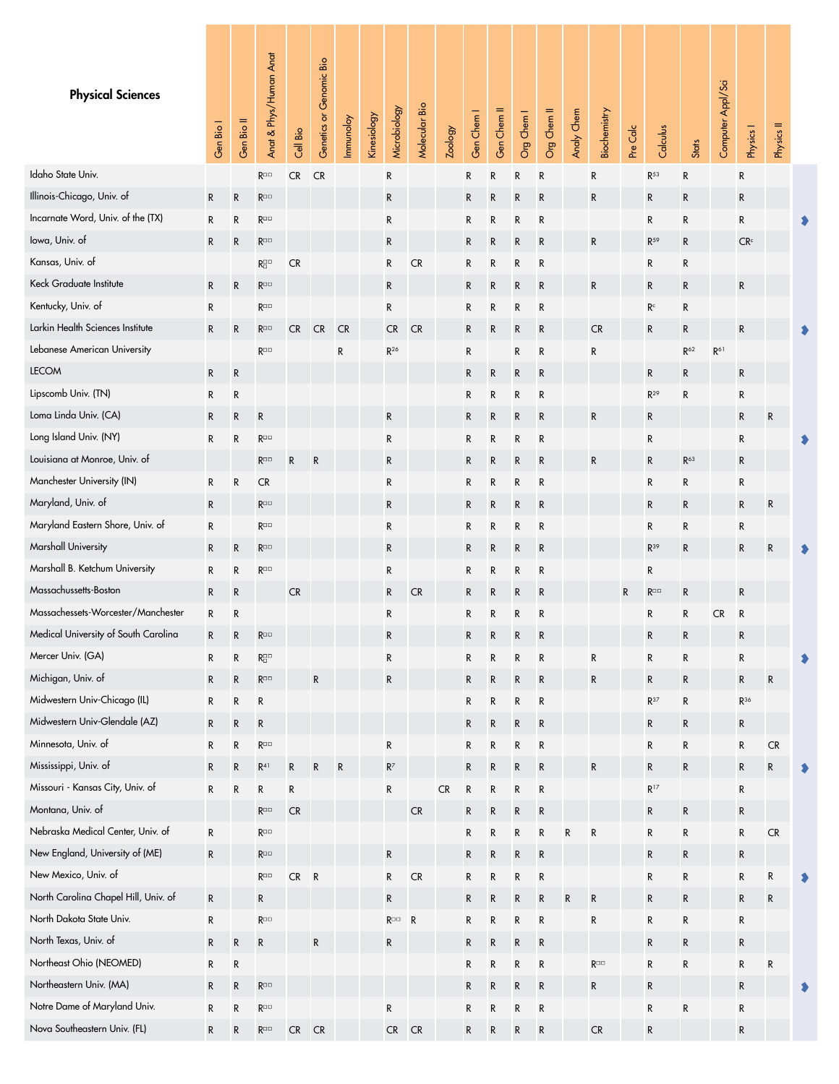<span id="page-5-0"></span>

| <b>Physical Sciences</b>             | Gen Bio I    | Gen Bio II | Anat & Phys/Human Anat                                      | Cell Bio   | Genetics or Genomic Bio | Immunoloy | Kinesiology | Microbiology                    | Molecular Bio | Zoology    | Gen Chem I   | Gen Chem II  | Org Chem I  | Org Chem II | Analy Chem  | Biochemistry                    | Pre Calc | Calculus          | Stats        | Computer Appl/Sci | Physics I       | Physics II |  |
|--------------------------------------|--------------|------------|-------------------------------------------------------------|------------|-------------------------|-----------|-------------|---------------------------------|---------------|------------|--------------|--------------|-------------|-------------|-------------|---------------------------------|----------|-------------------|--------------|-------------------|-----------------|------------|--|
| Idaho State Univ.                    |              |            | $R^{\Box\Box}$                                              | ${\sf CR}$ | <b>CR</b>               |           |             | R                               |               |            | R            | R            | R           | ${\sf R}$   |             | R                               |          | $R^{53}$          | R            |                   | R               |            |  |
| Illinois-Chicago, Univ. of           | $\mathsf R$  | R          | $R^{\square\square}$                                        |            |                         |           |             | R                               |               |            | R            | R            | R           | R           |             | ${\sf R}$                       |          | R                 | R            |                   | R               |            |  |
| Incarnate Word, Univ. of the (TX)    | R            | R          | $R^{\Box\Box}$                                              |            |                         |           |             | R                               |               |            | R            | $\mathsf R$  | R           | R           |             |                                 |          | $\mathsf R$       | R            |                   | ${\sf R}$       |            |  |
| lowa, Univ. of                       | R            | R          | $R^{\Box\Box}$                                              |            |                         |           |             | R                               |               |            | R            | R            | R           | R           |             | ${\sf R}$                       |          | R <sup>59</sup>   | R            |                   | CR <sup>c</sup> |            |  |
| Kansas, Univ. of                     |              |            | $R^{\square\,\square}_{\square}$                            | <b>CR</b>  |                         |           |             | $\mathsf R$                     | <b>CR</b>     |            | R            | R            | R           | R           |             |                                 |          | R                 | R            |                   |                 |            |  |
| Keck Graduate Institute              | R            | ${\sf R}$  | $\mathsf{R}^{\square\,\square}$                             |            |                         |           |             | ${\sf R}$                       |               |            | R            | R            | R           | ${\sf R}$   |             | ${\sf R}$                       |          | R                 | R            |                   | R               |            |  |
| Kentucky, Univ. of                   | ${\sf R}$    |            | $R^{\Box\Box}$                                              |            |                         |           |             | R                               |               |            | R            | R            | R           | ${\sf R}$   |             |                                 |          | R <sup>c</sup>    | R            |                   |                 |            |  |
| Larkin Health Sciences Institute     | $\mathsf R$  | ${\sf R}$  | $R^{\square\square}$                                        | <b>CR</b>  | <b>CR</b>               | <b>CR</b> |             | <b>CR</b>                       | <b>CR</b>     |            | R            | R            | R           | R           |             | <b>CR</b>                       |          | R                 | R            |                   | R               |            |  |
| Lebanese American University         |              |            | $R^{\Box\Box}$                                              |            |                         | R         |             | $\mathsf{R}^{26}$               |               |            | ${\sf R}$    |              | R           | ${\sf R}$   |             | ${\sf R}$                       |          |                   | $R^{62}$     | $\mathsf{R}^{61}$ |                 |            |  |
| <b>LECOM</b>                         | R            | R          |                                                             |            |                         |           |             |                                 |               |            | R            | R            | R           | R           |             |                                 |          | R                 | R            |                   | R               |            |  |
| Lipscomb Univ. (TN)                  | $\mathsf R$  | R          |                                                             |            |                         |           |             |                                 |               |            | R            | R            | R           | R           |             |                                 |          | $R^{29}$          | R            |                   | R               |            |  |
| Loma Linda Univ. (CA)                | R            | R          | $\mathsf{R}$                                                |            |                         |           |             | R                               |               |            | R            | R            | R           | ${\sf R}$   |             | ${\sf R}$                       |          | R                 |              |                   | ${\sf R}$       | R          |  |
| Long Island Univ. (NY)               | R            | R          | $R^{\Box\Box}$                                              |            |                         |           |             | R                               |               |            | R            | R            | R           | ${\sf R}$   |             |                                 |          | R                 |              |                   | R               |            |  |
| Louisiana at Monroe, Univ. of        |              |            | $R^{\square\square}$                                        | R          | $\mathsf R$             |           |             | R                               |               |            | R            | R            | R           | R           |             | ${\sf R}$                       |          | R                 | $R^{63}$     |                   | R               |            |  |
| Manchester University (IN)           | R            | ${\sf R}$  | CR                                                          |            |                         |           |             | R                               |               |            | R            | $\mathsf R$  | R           | ${\sf R}$   |             |                                 |          | R                 | R            |                   | ${\sf R}$       |            |  |
| Maryland, Univ. of                   | R            |            | $R^{\Box\Box}$                                              |            |                         |           |             | R                               |               |            | R            | R            | R           | R           |             |                                 |          | $\mathsf R$       | R            |                   | R               | R          |  |
| Maryland Eastern Shore, Univ. of     | R            |            | $R^{\square\square}$                                        |            |                         |           |             | R                               |               |            | R            | R            | R           | R           |             |                                 |          | R                 | R            |                   | R               |            |  |
| Marshall University                  | R            | R          | $\mathsf{R}^{\square\,\square}$                             |            |                         |           |             | R                               |               |            | R            | R            | R           | ${\sf R}$   |             |                                 |          | $R^{39}$          | R            |                   | R               | R          |  |
| Marshall B. Ketchum University       | ${\sf R}$    | R          | $R^{\Box\Box}$                                              |            |                         |           |             | R                               |               |            | R            | R            | R           | ${\sf R}$   |             |                                 |          | R                 |              |                   |                 |            |  |
| Massachussetts-Boston                | $\mathsf{R}$ | R          |                                                             | <b>CR</b>  |                         |           |             | ${\sf R}$                       | <b>CR</b>     |            | R            | R            | R           | R           |             |                                 | R        | $R^{\Box\Box}$    | R            |                   | ${\sf R}$       |            |  |
| Massachessets-Worcester/Manchester   | R            | R          |                                                             |            |                         |           |             | R                               |               |            | R            | $\mathsf R$  | R           | ${\sf R}$   |             |                                 |          | R                 | ${\sf R}$    | CR                | R               |            |  |
| Medical University of South Carolina | R            | R          | $\mathsf{R}^{\square\,\square}$                             |            |                         |           |             | R                               |               |            | R            | R            | $\mathsf R$ | R           |             |                                 |          | R                 | R            |                   | R               |            |  |
| Mercer Univ. (GA)                    | R            | R          | $R^{\scriptscriptstyle\Box\,\Box}_{\scriptscriptstyle\Box}$ |            |                         |           |             | ${\sf R}$                       |               |            | R            | ${\sf R}$    | ${\sf R}$   | ${\sf R}$   |             | ${\sf R}$                       |          | R                 | ${\sf R}$    |                   | ${\sf R}$       |            |  |
| Michigan, Univ. of                   | R            | R          | $\mathsf{R}^{\square\,\square}$                             |            | R                       |           |             | R                               |               |            | R            | R            | R           | ${\sf R}$   |             | ${\sf R}$                       |          | R                 | R            |                   | ${\sf R}$       | ${\sf R}$  |  |
| Midwestern Univ-Chicago (IL)         | R            | R          | R                                                           |            |                         |           |             |                                 |               |            | ${\sf R}$    | R            | ${\sf R}$   | ${\sf R}$   |             |                                 |          | $\mathsf{R}^{37}$ | R            |                   | $R^{36}$        |            |  |
| Midwestern Univ-Glendale (AZ)        | ${\sf R}$    | R          | ${\sf R}$                                                   |            |                         |           |             |                                 |               |            | $\mathsf{R}$ | R            | ${\sf R}$   | ${\sf R}$   |             |                                 |          | R                 | $\mathsf{R}$ |                   | R               |            |  |
| Minnesota, Univ. of                  | R            | R          | $R^{\Box\Box}$                                              |            |                         |           |             | R                               |               |            | R            | R            | R           | ${\sf R}$   |             |                                 |          | R                 | ${\sf R}$    |                   | R               | ${\sf CR}$ |  |
| Mississippi, Univ. of                | R            | R          | $\mathsf{R}^{41}$                                           | ${\sf R}$  | $\mathsf R$             | ${\sf R}$ |             | $\mathsf{R}^7$                  |               |            | R            | R            | ${\sf R}$   | ${\sf R}$   |             | ${\sf R}$                       |          | ${\sf R}$         | $\mathsf{R}$ |                   | ${\sf R}$       | R          |  |
| Missouri - Kansas City, Univ. of     | R            | R          | R                                                           | R          |                         |           |             | ${\sf R}$                       |               | ${\sf CR}$ | ${\sf R}$    | R            | ${\sf R}$   | ${\sf R}$   |             |                                 |          | $\mathsf{R}^{17}$ |              |                   | ${\sf R}$       |            |  |
| Montana, Univ. of                    |              |            | $\mathsf{R}^{\square\,\square}$                             | ${\sf CR}$ |                         |           |             |                                 | CR            |            | $\mathsf{R}$ | R            | ${\sf R}$   | ${\sf R}$   |             |                                 |          | R                 | R            |                   | R               |            |  |
| Nebraska Medical Center, Univ. of    | R            |            | $R^{\Box\Box}$                                              |            |                         |           |             |                                 |               |            | ${\sf R}$    | $\mathsf{R}$ | R           | ${\sf R}$   | $\mathsf R$ | ${\sf R}$                       |          | R                 | R            |                   | R               | ${\sf CR}$ |  |
| New England, University of (ME)      | ${\sf R}$    |            | $\mathsf{R}^{\square\,\square}$                             |            |                         |           |             | ${\sf R}$                       |               |            | $\mathsf{R}$ | R            | ${\sf R}$   | ${\sf R}$   |             |                                 |          | ${\sf R}$         | $\mathsf{R}$ |                   | ${\sf R}$       |            |  |
| New Mexico, Univ. of                 |              |            | $R^{\Box\Box}$                                              | ${\sf CR}$ | $\mathsf{R}$            |           |             | R                               | CR            |            | R            | R            | R           | ${\sf R}$   |             |                                 |          | R                 | R            |                   | R               | R          |  |
| North Carolina Chapel Hill, Univ. of | ${\sf R}$    |            | ${\sf R}$                                                   |            |                         |           |             | R                               |               |            | R            | R            | R           | ${\sf R}$   | ${\sf R}$   | ${\sf R}$                       |          | ${\sf R}$         | $\mathsf R$  |                   | ${\sf R}$       | R          |  |
| North Dakota State Univ.             | ${\sf R}$    |            | $\mathsf{R}^{\square\,\square}$                             |            |                         |           |             | $\mathsf{R}^{\square\,\square}$ | $\mathsf{R}$  |            | R            | R            | ${\sf R}$   | ${\sf R}$   |             | ${\sf R}$                       |          | R                 | R            |                   | ${\sf R}$       |            |  |
| North Texas, Univ. of                | R            | R          | ${\sf R}$                                                   |            | R                       |           |             | R                               |               |            | R            | R            | R           | ${\sf R}$   |             |                                 |          | R                 | R            |                   | R               |            |  |
| Northeast Ohio (NEOMED)              | R            | R          |                                                             |            |                         |           |             |                                 |               |            | R            | $\mathsf R$  | R           | ${\sf R}$   |             | $\mathsf{R}^{\square\,\square}$ |          | R                 | R            |                   | R               | R          |  |
| Northeastern Univ. (MA)              | ${\sf R}$    | R          | $\mathsf{R}^{\square\,\square}$                             |            |                         |           |             |                                 |               |            | $\mathsf{R}$ | R            | ${\sf R}$   | ${\sf R}$   |             | R                               |          | R                 |              |                   | R               |            |  |
| Notre Dame of Maryland Univ.         | R            | R          | $R^{\Box\Box}$                                              |            |                         |           |             | R                               |               |            | R            | R            | R           | ${\sf R}$   |             |                                 |          | R                 | R            |                   | R               |            |  |
| Nova Southeastern Univ. (FL)         | R            | R          | $\mathsf{R}^{\square\,\square}$                             | CR CR      |                         |           |             | $CR$ $CR$                       |               |            | R            | R            | R           | ${\sf R}$   |             | CR                              |          | ${\sf R}$         |              |                   | R               |            |  |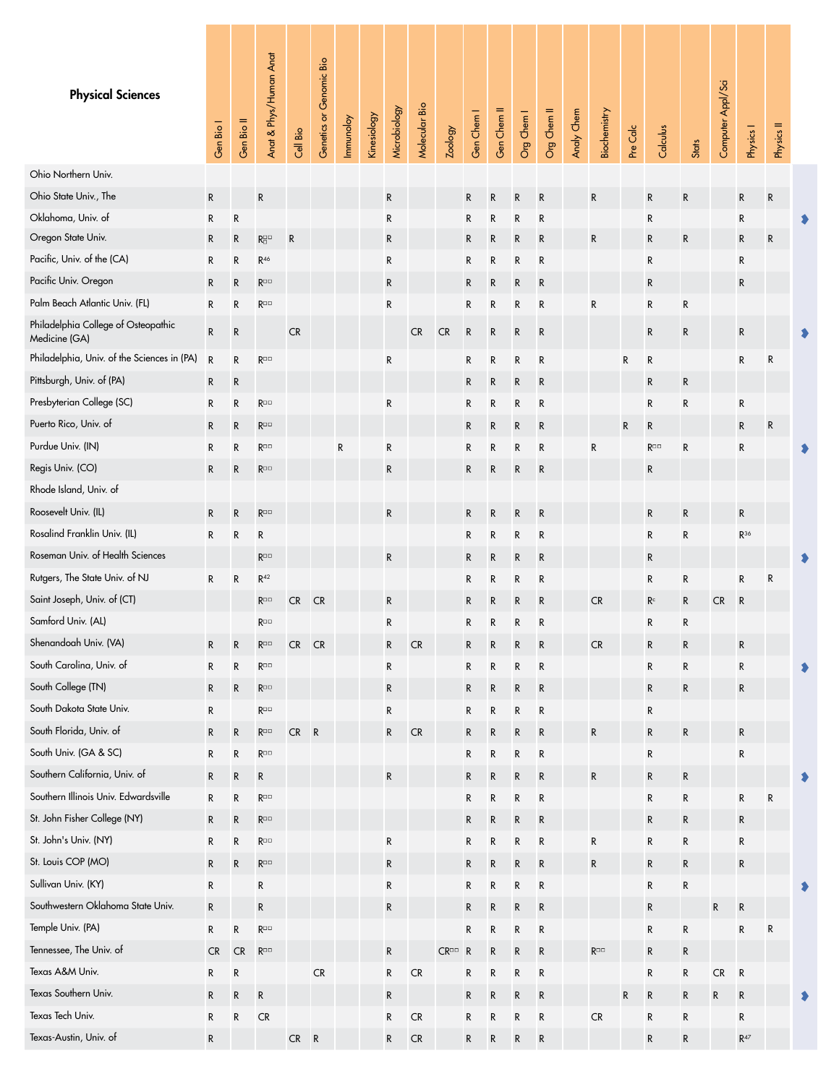<span id="page-6-0"></span>

| <b>Physical Sciences</b>                             | Gen Bio I    | Gen Bio II  | Anat & Phys/Human Anat                  | Cell Bio   | Genetics or Genomic Bio | Immunoloy | Kinesiology | Microbiology | Molecular Bio | Zoology             | Gen Chem I   | Gen Chem II | Org Chem I | Org Chem II  | Analy Chem | <b>Biochemistry</b>             | Pre Calc  | Calculus       | <b>Stats</b> | Computer Appl/Sci | Physics I         | Physics II |  |
|------------------------------------------------------|--------------|-------------|-----------------------------------------|------------|-------------------------|-----------|-------------|--------------|---------------|---------------------|--------------|-------------|------------|--------------|------------|---------------------------------|-----------|----------------|--------------|-------------------|-------------------|------------|--|
| Ohio Northern Univ.                                  |              |             |                                         |            |                         |           |             |              |               |                     |              |             |            |              |            |                                 |           |                |              |                   |                   |            |  |
| Ohio State Univ., The                                | ${\sf R}$    |             | ${\sf R}$                               |            |                         |           |             | ${\sf R}$    |               |                     | R            | ${\sf R}$   | R          | ${\sf R}$    |            | R                               |           | ${\sf R}$      | ${\sf R}$    |                   | ${\sf R}$         | ${\sf R}$  |  |
| Oklahoma, Univ. of                                   | R            | ${\sf R}$   |                                         |            |                         |           |             | R            |               |                     | ${\sf R}$    | R           | R          | ${\sf R}$    |            |                                 |           | R              |              |                   | ${\sf R}$         |            |  |
| Oregon State Univ.                                   | ${\sf R}$    | ${\sf R}$   | $\mathsf{R}^{\square\,\square}_\square$ | ${\sf R}$  |                         |           |             | ${\sf R}$    |               |                     | $\mathsf{R}$ | ${\sf R}$   | R          | ${\sf R}$    |            | R                               |           | ${\sf R}$      | ${\sf R}$    |                   | ${\sf R}$         | R          |  |
| Pacific, Univ. of the (CA)                           | ${\sf R}$    | R           | $R^{46}$                                |            |                         |           |             | ${\sf R}$    |               |                     | $\mathsf{R}$ | R           | R          | R            |            |                                 |           | $\mathsf{R}$   |              |                   | ${\sf R}$         |            |  |
| Pacific Univ. Oregon                                 | ${\sf R}$    | ${\sf R}$   | $\mathsf{R}^{\square\,\square}$         |            |                         |           |             | $\mathsf{R}$ |               |                     | $\mathsf{R}$ | R           | R          | ${\sf R}$    |            |                                 |           | $\mathsf{R}$   |              |                   | ${\sf R}$         |            |  |
| Palm Beach Atlantic Univ. (FL)                       | ${\sf R}$    | R           | $\mathsf{R}^{\square\,\square}$         |            |                         |           |             | R            |               |                     | $\mathsf{R}$ | R           | R          | R            |            | R                               |           | ${\sf R}$      | R            |                   |                   |            |  |
| Philadelphia College of Osteopathic<br>Medicine (GA) | R            | ${\sf R}$   |                                         | <b>CR</b>  |                         |           |             |              | <b>CR</b>     | <b>CR</b>           | $\mathsf R$  | ${\sf R}$   | R          | ${\sf R}$    |            |                                 |           | ${\sf R}$      | $\mathsf{R}$ |                   | ${\sf R}$         |            |  |
| Philadelphia, Univ. of the Sciences in (PA)          | $\mathsf{R}$ | R           | $R^{\Box\Box}$                          |            |                         |           |             | R            |               |                     | R            | R           | R          | ${\sf R}$    |            |                                 | ${\sf R}$ | ${\sf R}$      |              |                   | ${\sf R}$         | R          |  |
| Pittsburgh, Univ. of (PA)                            | R            | ${\sf R}$   |                                         |            |                         |           |             |              |               |                     | ${\sf R}$    | ${\sf R}$   | R          | ${\sf R}$    |            |                                 |           | ${\sf R}$      | ${\sf R}$    |                   |                   |            |  |
| Presbyterian College (SC)                            | R            | R           | $R^{\Box\Box}$                          |            |                         |           |             | ${\sf R}$    |               |                     | $\mathsf{R}$ | ${\sf R}$   | R          | $\mathsf{R}$ |            |                                 |           | R              | $\mathsf{R}$ |                   | ${\sf R}$         |            |  |
| Puerto Rico, Univ. of                                | R            | R           | $\mathsf{R}^{\square\,\square}$         |            |                         |           |             |              |               |                     | R            | R           | R          | R            |            |                                 | R         | R              |              |                   | ${\sf R}$         | ${\sf R}$  |  |
| Purdue Univ. (IN)                                    | R            | $\mathsf R$ | $R^{\Box\Box}$                          |            |                         | R         |             | R            |               |                     | ${\sf R}$    | R           | R          | $\mathsf{R}$ |            | R                               |           | R□□            | R            |                   | R                 |            |  |
| Regis Univ. (CO)                                     | ${\sf R}$    | R           | $R^{\Box\Box}$                          |            |                         |           |             | ${\sf R}$    |               |                     | $\mathsf{R}$ | R           | R          | $\mathsf{R}$ |            |                                 |           | R              |              |                   |                   |            |  |
| Rhode Island, Univ. of                               |              |             |                                         |            |                         |           |             |              |               |                     |              |             |            |              |            |                                 |           |                |              |                   |                   |            |  |
| Roosevelt Univ. (IL)                                 | ${\sf R}$    | ${\sf R}$   | $\mathsf{R}^{\square\,\square}$         |            |                         |           |             | ${\sf R}$    |               |                     | $\mathsf{R}$ | ${\sf R}$   | R          | ${\sf R}$    |            |                                 |           | ${\sf R}$      | ${\sf R}$    |                   | ${\sf R}$         |            |  |
| Rosalind Franklin Univ. (IL)                         | R            | R           | R                                       |            |                         |           |             |              |               |                     | R            | R           | R          | R            |            |                                 |           | $\mathsf{R}$   | R            |                   | $R^{36}$          |            |  |
| Roseman Univ. of Health Sciences                     |              |             | $R^{\Box\Box}$                          |            |                         |           |             | R            |               |                     | R            | R           | R          | R            |            |                                 |           | R              |              |                   |                   |            |  |
| Rutgers, The State Univ. of NJ                       | R            | ${\sf R}$   | $R^{42}$                                |            |                         |           |             |              |               |                     | ${\sf R}$    | R           | R          | R            |            |                                 |           | R              | R            |                   | R                 | R          |  |
| Saint Joseph, Univ. of (CT)                          |              |             | $R^{\Box\Box}$                          | CR         | CR                      |           |             | R            |               |                     | $\mathsf{R}$ | R           | R          | ${\sf R}$    |            | CR                              |           | R <sub>c</sub> | $\mathsf{R}$ | <b>CR</b>         | $\mathsf{R}$      |            |  |
| Samford Univ. (AL)                                   |              |             | $\mathsf{R}^{\square\,\square}$         |            |                         |           |             | $\mathsf R$  |               |                     | R            | R           | R          | ${\sf R}$    |            |                                 |           | R              | R            |                   |                   |            |  |
| Shenandoah Univ. (VA)                                | R            | R           | $R^{\Box\Box}$                          | CR         | <b>CR</b>               |           |             | ${\sf R}$    | CR            |                     | R            | R           | R          | ${\sf R}$    |            | ${\sf CR}$                      |           | ${\sf R}$      | ${\sf R}$    |                   | R                 |            |  |
| South Carolina, Univ. of                             | R            | R           | $R^{\Box\Box}$                          |            |                         |           |             | R            |               |                     | $\mathsf{R}$ | R           | R          | ${\sf R}$    |            |                                 |           | R              | ${\sf R}$    |                   | R                 |            |  |
| South College (TN)                                   | R            | ${\sf R}$   | $\mathsf{R}^{\square\,\square}$         |            |                         |           |             | ${\sf R}$    |               |                     | $\mathsf{R}$ | ${\sf R}$   | R          | ${\sf R}$    |            |                                 |           | ${\sf R}$      | $\mathsf R$  |                   | R                 |            |  |
| South Dakota State Univ.                             | R            |             | $\mathsf{R}^{\square\,\square}$         |            |                         |           |             | R            |               |                     | $\mathsf{R}$ | ${\sf R}$   | R          | ${\sf R}$    |            |                                 |           | R              |              |                   |                   |            |  |
| South Florida, Univ. of                              | R            | R           | $\mathsf{R}^{\square\,\square}$         | ${\sf CR}$ | $\overline{R}$          |           |             | ${\sf R}$    | CR            |                     | $\mathsf R$  | ${\sf R}$   | R          | ${\sf R}$    |            | R                               |           | $\mathsf R$    | ${\sf R}$    |                   | R                 |            |  |
| South Univ. (GA & SC)                                | R            | R           | $\mathsf{R}^{\square\,\square}$         |            |                         |           |             |              |               |                     | ${\sf R}$    | R           | R          | ${\sf R}$    |            |                                 |           | R              |              |                   | ${\sf R}$         |            |  |
| Southern California, Univ. of                        | R            | ${\sf R}$   | R                                       |            |                         |           |             | ${\sf R}$    |               |                     | $\mathsf R$  | ${\sf R}$   | R          | ${\sf R}$    |            | R                               |           | ${\sf R}$      | $\mathsf R$  |                   |                   |            |  |
| Southern Illinois Univ. Edwardsville                 | R            | R           | $\mathsf{R}^{\square\,\square}$         |            |                         |           |             |              |               |                     | $\mathsf{R}$ | R           | R          | ${\sf R}$    |            |                                 |           | ${\sf R}$      | R            |                   | R                 | R          |  |
| St. John Fisher College (NY)                         | R            | ${\sf R}$   | $\mathsf{R}^{\square\,\square}$         |            |                         |           |             |              |               |                     | $\mathsf{R}$ | ${\sf R}$   | R          | ${\sf R}$    |            |                                 |           | ${\sf R}$      | ${\sf R}$    |                   | R                 |            |  |
| St. John's Univ. (NY)                                | R            | ${\sf R}$   | $\mathsf{R}^{\square\,\square}$         |            |                         |           |             | ${\sf R}$    |               |                     | $\mathsf{R}$ | R           | R          | ${\sf R}$    |            | ${\sf R}$                       |           | R              | ${\sf R}$    |                   | R                 |            |  |
| St. Louis COP (MO)                                   | ${\sf R}$    | ${\sf R}$   | $\mathsf{R}^{\square\,\square}$         |            |                         |           |             | ${\sf R}$    |               |                     | ${\sf R}$    | ${\sf R}$   | R          | ${\sf R}$    |            | ${\sf R}$                       |           | ${\sf R}$      | ${\sf R}$    |                   | R                 |            |  |
| Sullivan Univ. (KY)                                  | R            |             | R                                       |            |                         |           |             | ${\sf R}$    |               |                     | $\mathsf{R}$ | ${\sf R}$   | R          | ${\sf R}$    |            |                                 |           | ${\sf R}$      | ${\sf R}$    |                   |                   |            |  |
| Southwestern Oklahoma State Univ.                    | R            |             | ${\sf R}$                               |            |                         |           |             | R            |               |                     | $\mathsf R$  | ${\sf R}$   | R          | ${\sf R}$    |            |                                 |           | ${\sf R}$      |              | ${\sf R}$         | $\mathsf R$       |            |  |
| Temple Univ. (PA)                                    | R            | R           | $\mathsf{R}^{\square\,\square}$         |            |                         |           |             |              |               |                     | $\mathsf{R}$ | R           | R          | ${\sf R}$    |            |                                 |           | R              | R            |                   | ${\sf R}$         | R          |  |
| Tennessee, The Univ. of                              | CR           | ${\sf CR}$  | $\mathsf{R}^{\square\,\square}$         |            |                         |           |             | ${\sf R}$    |               | $CR^{\Box\Box}$ $R$ |              | ${\sf R}$   | R          | ${\sf R}$    |            | $\mathsf{R}^{\square\,\square}$ |           | ${\sf R}$      | $\mathsf R$  |                   |                   |            |  |
| Texas A&M Univ.                                      | R            | ${\sf R}$   |                                         |            | ${\sf CR}$              |           |             | ${\sf R}$    | CR            |                     | R            | ${\sf R}$   | R          | ${\sf R}$    |            |                                 |           | R              | R            | ${\sf CR}$        | ${\sf R}$         |            |  |
| Texas Southern Univ.                                 | R            | R           | $\mathsf{R}$                            |            |                         |           |             | ${\sf R}$    |               |                     | ${\sf R}$    | ${\sf R}$   | R          | ${\sf R}$    |            |                                 | ${\sf R}$ | ${\sf R}$      | $\mathsf{R}$ | R                 | $\mathsf R$       |            |  |
| Texas Tech Univ.                                     | R            | R           | ${\sf CR}$                              |            |                         |           |             | R            | ${\sf CR}$    |                     | R            | R           | R          | ${\sf R}$    |            | CR                              |           | R              | R            |                   | ${\sf R}$         |            |  |
| Texas-Austin, Univ. of                               | R            |             |                                         | $CR$ $R$   |                         |           |             | R            | CR            |                     | $\mathsf{R}$ | R           | R          | ${\sf R}$    |            |                                 |           | ${\sf R}$      | $\mathsf{R}$ |                   | $\mathsf{R}^{47}$ |            |  |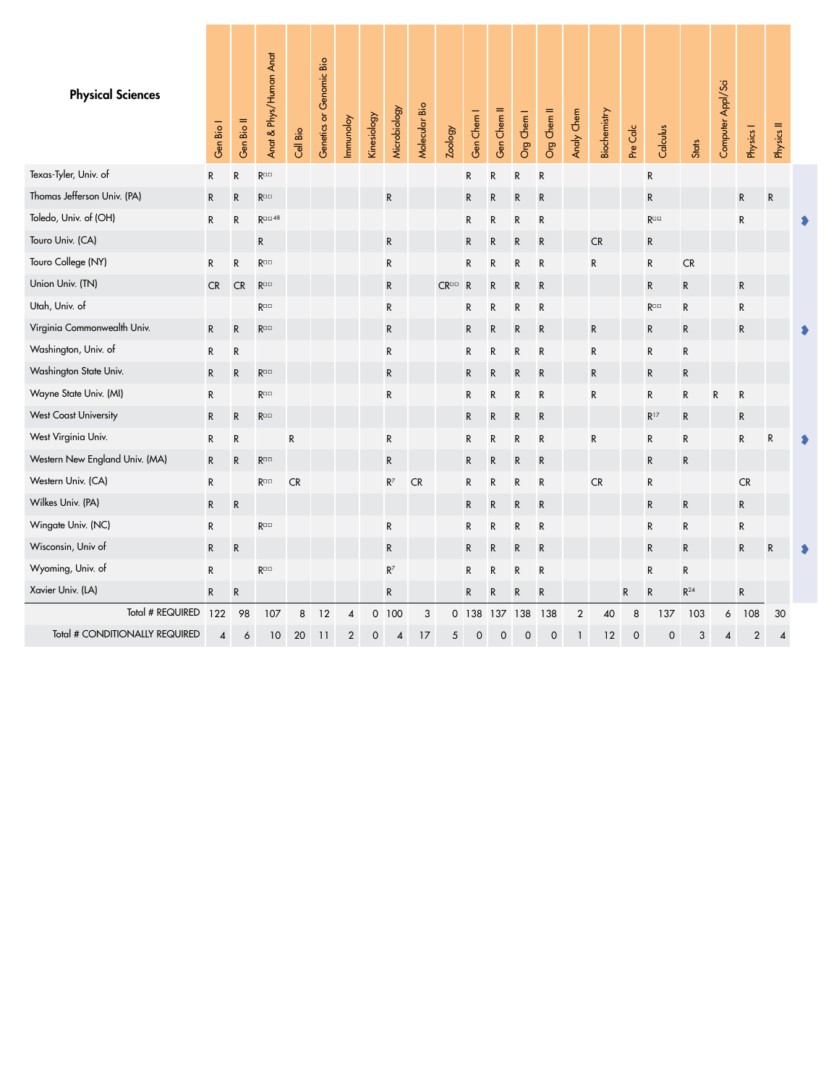<span id="page-7-0"></span>

| <b>Physical Sciences</b>       | Gen Bio I                | Gen Bio II   | Anat & Phys/Human Anat          | Cell Bio  | Genetics or Genomic Bio | Immunoloy               | <b>Kinesiology</b> | Microbiology | Molecular Bio | Zoology             | Gen Chem I   | Gen Chem II  | Org Chem I   | Org Chem II | Analy Chem     | Biochemistry | Pre Calc    | Calculus                        | Stats        | Computer Appl/Sci | Physics I      | Physics II |  |
|--------------------------------|--------------------------|--------------|---------------------------------|-----------|-------------------------|-------------------------|--------------------|--------------|---------------|---------------------|--------------|--------------|--------------|-------------|----------------|--------------|-------------|---------------------------------|--------------|-------------------|----------------|------------|--|
| Texas-Tyler, Univ. of          | ${\sf R}$                | ${\sf R}$    | $\mathsf{R}^{\square\,\square}$ |           |                         |                         |                    |              |               |                     | R            | ${\sf R}$    | R            | ${\sf R}$   |                |              |             | R                               |              |                   |                |            |  |
| Thomas Jefferson Univ. (PA)    | ${\sf R}$                | ${\sf R}$    | $\mathsf{R}^{\square\,\square}$ |           |                         |                         |                    | ${\sf R}$    |               |                     | ${\sf R}$    | R            | ${\sf R}$    | ${\sf R}$   |                |              |             | ${\sf R}$                       |              |                   | ${\sf R}$      | ${\sf R}$  |  |
| Toledo, Univ. of (OH)          | R                        | ${\sf R}$    | $R^{\Box\Box\ 48}$              |           |                         |                         |                    |              |               |                     | R            | ${\sf R}$    | R            | R           |                |              |             | $\mathsf{R}^{\square\,\square}$ |              |                   | ${\sf R}$      |            |  |
| Touro Univ. (CA)               |                          |              | ${\sf R}$                       |           |                         |                         |                    | ${\sf R}$    |               |                     | $\mathsf{R}$ | ${\sf R}$    | ${\sf R}$    | ${\sf R}$   |                | ${\sf CR}$   |             | R                               |              |                   |                |            |  |
| Touro College (NY)             | ${\sf R}$                | ${\sf R}$    | $R^{\Box\Box}$                  |           |                         |                         |                    | ${\sf R}$    |               |                     | R            | ${\sf R}$    | ${\sf R}$    | R           |                | R            |             | ${\sf R}$                       | ${\sf CR}$   |                   |                |            |  |
| Union Univ. (TN)               | <b>CR</b>                | <b>CR</b>    | $R^{\Box\Box}$                  |           |                         |                         |                    | $\mathsf{R}$ |               | $CR^{\Box\Box}$ $R$ |              | R            | ${\sf R}$    | R           |                |              |             | R                               | $\mathsf{R}$ |                   | R              |            |  |
| Utah, Univ. of                 |                          |              | $R^{\Box\Box}$                  |           |                         |                         |                    | ${\sf R}$    |               |                     | R            | ${\sf R}$    | $\mathsf{R}$ | R           |                |              |             | $R^{\Box\Box}$                  | ${\sf R}$    |                   | ${\sf R}$      |            |  |
| Virginia Commonwealth Univ.    | ${\sf R}$                | ${\sf R}$    | $R^{\Box\Box}$                  |           |                         |                         |                    | ${\sf R}$    |               |                     | $\mathsf{R}$ | $\mathsf{R}$ | $\mathsf{R}$ | R           |                | $\mathsf{R}$ |             | $\mathsf{R}$                    | $\mathsf{R}$ |                   | $\mathsf{R}$   |            |  |
| Washington, Univ. of           | $\mathsf{R}$             | R            |                                 |           |                         |                         |                    | ${\sf R}$    |               |                     | R            | R            | ${\sf R}$    | R           |                | ${\sf R}$    |             | $\mathsf R$                     | $\mathsf{R}$ |                   |                |            |  |
| Washington State Univ.         | ${\sf R}$                | ${\sf R}$    | $\mathsf{R}^{\square\,\square}$ |           |                         |                         |                    | ${\sf R}$    |               |                     | R            | $\mathsf R$  | R            | R           |                | ${\sf R}$    |             | ${\sf R}$                       | $\mathsf{R}$ |                   |                |            |  |
| Wayne State Univ. (MI)         | ${\sf R}$                |              | $R^{\Box\Box}$                  |           |                         |                         |                    | ${\sf R}$    |               |                     | R            | ${\sf R}$    | ${\sf R}$    | R           |                | ${\sf R}$    |             | $\mathsf R$                     | ${\sf R}$    | ${\sf R}$         | ${\sf R}$      |            |  |
| <b>West Coast University</b>   | $\mathsf{R}$             | $\mathsf{R}$ | $R^{\Box\Box}$                  |           |                         |                         |                    |              |               |                     | $\mathsf{R}$ | $\mathsf{R}$ | R            | R           |                |              |             | $R^{17}$                        | R            |                   | ${\sf R}$      |            |  |
| West Virginia Univ.            | ${\sf R}$                | R            |                                 | ${\sf R}$ |                         |                         |                    | ${\sf R}$    |               |                     | R            | R            | ${\sf R}$    | R           |                | ${\sf R}$    |             | R                               | $\mathsf{R}$ |                   | ${\sf R}$      | R          |  |
| Western New England Univ. (MA) | ${\sf R}$                | ${\sf R}$    | $\mathsf{R}^{\square\,\square}$ |           |                         |                         |                    | ${\sf R}$    |               |                     | R            | ${\sf R}$    | $\mathsf{R}$ | ${\sf R}$   |                |              |             | ${\sf R}$                       | ${\sf R}$    |                   |                |            |  |
| Western Univ. (CA)             | ${\sf R}$                |              | $R^{\square\square}$            | <b>CR</b> |                         |                         |                    | $R^7$        | CR            |                     | R            | ${\sf R}$    | R            | R           |                | ${\sf CR}$   |             | R                               |              |                   | CR             |            |  |
| Wilkes Univ. (PA)              | ${\sf R}$                | ${\sf R}$    |                                 |           |                         |                         |                    |              |               |                     | $\mathsf{R}$ | $\mathsf{R}$ | $\mathsf{R}$ | ${\sf R}$   |                |              |             | $\mathsf R$                     | $\mathsf{R}$ |                   | ${\sf R}$      |            |  |
| Wingate Univ. (NC)             | $\mathsf{R}$             |              | $R^{\Box\Box}$                  |           |                         |                         |                    | ${\sf R}$    |               |                     | R            | R            | ${\sf R}$    | R           |                |              |             | $\mathsf{R}$                    | $\mathsf{R}$ |                   | R              |            |  |
| Wisconsin, Univ of             | $\mathsf R$              | ${\sf R}$    |                                 |           |                         |                         |                    | ${\sf R}$    |               |                     | R            | $\mathsf{R}$ | R.           | R           |                |              |             | $\mathsf{R}$                    | $\mathsf{R}$ |                   | $\mathsf R$    | R          |  |
| Wyoming, Univ. of              | ${\sf R}$                |              | $R^{\Box\Box}$                  |           |                         |                         |                    | $R^7$        |               |                     | R            | ${\sf R}$    | R            | R           |                |              |             | R                               | $\mathsf{R}$ |                   |                |            |  |
| Xavier Univ. (LA)              | ${\sf R}$                | ${\sf R}$    |                                 |           |                         |                         |                    | ${\sf R}$    |               |                     | $\mathsf{R}$ | $\mathsf R$  | ${\sf R}$    | R           |                |              | R           | $\mathsf{R}$                    | $R^{24}$     |                   | ${\sf R}$      |            |  |
| Total # REQUIRED               | 122                      | 98           | 107                             | 8         | 12                      | $\overline{\mathbf{A}}$ |                    | 0 100        | 3             |                     | $0$ 138      | 137          | 138          | 138         | $\overline{2}$ | 40           | 8           | 137                             | 103          | 6                 | 108            | 30         |  |
| Total # CONDITIONALLY REQUIRED | $\overline{\mathcal{A}}$ | 6            | 10                              | 20        | 11                      | $\overline{2}$          | 0                  | 4            | 17            | 5                   | 0            | 0            | 0            | 0           | $\mathbf{1}$   | 12           | $\mathbf 0$ | $\mathbf 0$                     | 3            | 4                 | $\overline{2}$ | 4          |  |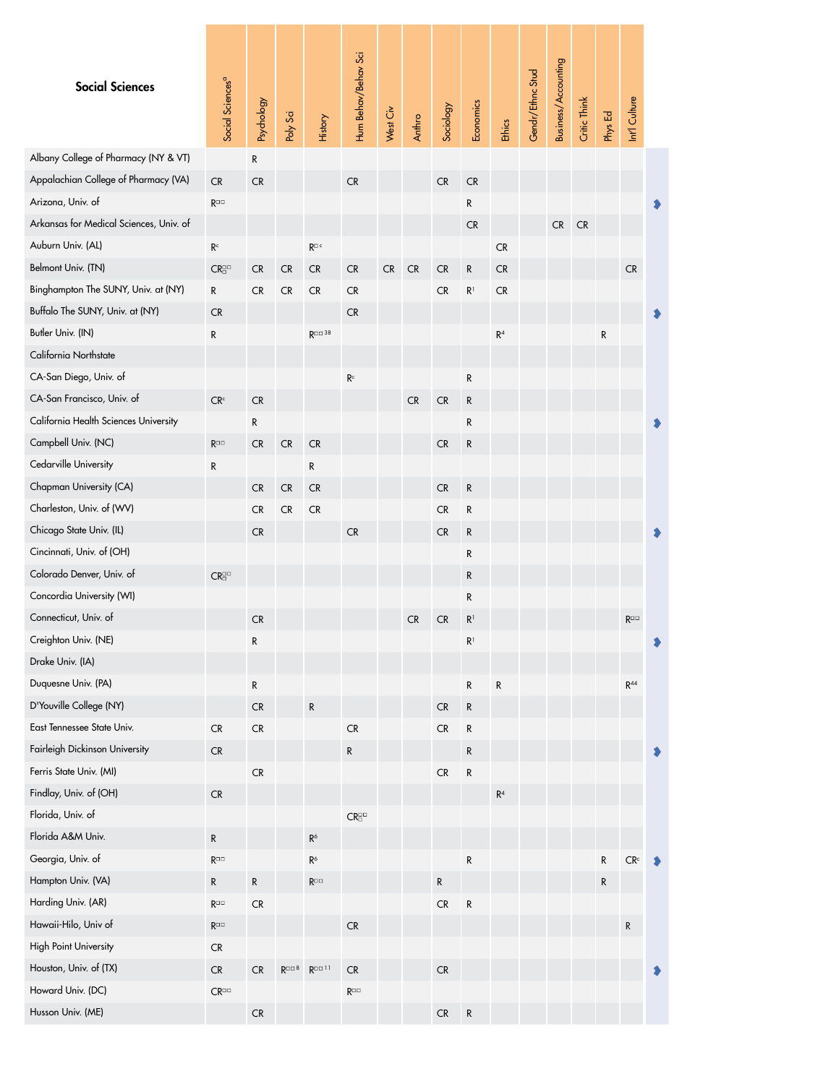<span id="page-8-0"></span>

| <b>Social Sciences</b>                  | Social Sciences <sup>a</sup>    | Psychology | Poly Sci          | History                         | Hum Behav/Behav Sci             | West Civ   | Anthro | Sociology  | Economics      | Ethics         | Gendr/Ethnc Stud | Business/Accounting | Critic Think | Phys Ed   | Int'l Culture   |  |
|-----------------------------------------|---------------------------------|------------|-------------------|---------------------------------|---------------------------------|------------|--------|------------|----------------|----------------|------------------|---------------------|--------------|-----------|-----------------|--|
| Albany College of Pharmacy (NY & VT)    |                                 | ${\sf R}$  |                   |                                 |                                 |            |        |            |                |                |                  |                     |              |           |                 |  |
| Appalachian College of Pharmacy (VA)    | <b>CR</b>                       | <b>CR</b>  |                   |                                 | <b>CR</b>                       |            |        | ${\sf CR}$ | CR             |                |                  |                     |              |           |                 |  |
| Arizona, Univ. of                       | $R^{\Box\Box}$                  |            |                   |                                 |                                 |            |        |            | R              |                |                  |                     |              |           |                 |  |
| Arkansas for Medical Sciences, Univ. of |                                 |            |                   |                                 |                                 |            |        |            | CR             |                |                  | CR                  | ${\sf CR}$   |           |                 |  |
| Auburn Univ. (AL)                       | $\mathsf{R}^\mathsf{c}$         |            |                   | $R^{\Box c}$                    |                                 |            |        |            |                | CR             |                  |                     |              |           |                 |  |
| Belmont Univ. (TN)                      | $CR^{\square\square}_{\square}$ | <b>CR</b>  | CR                | CR                              | CR                              | ${\sf CR}$ | CR     | CR         | R              | CR             |                  |                     |              |           | ${\sf CR}$      |  |
| Binghampton The SUNY, Univ. at (NY)     | $\mathsf R$                     | ${\sf CR}$ | ${\sf CR}$        | ${\sf CR}$                      | CR                              |            |        | CR         | $\mathsf{R}^1$ | CR             |                  |                     |              |           |                 |  |
| Buffalo The SUNY, Univ. at (NY)         | <b>CR</b>                       |            |                   |                                 | CR                              |            |        |            |                |                |                  |                     |              |           |                 |  |
| Butler Univ. (IN)                       | ${\sf R}$                       |            |                   | <b>R</b> □□ 38                  |                                 |            |        |            |                | $\mathsf{R}^4$ |                  |                     |              | ${\sf R}$ |                 |  |
| California Northstate                   |                                 |            |                   |                                 |                                 |            |        |            |                |                |                  |                     |              |           |                 |  |
| CA-San Diego, Univ. of                  |                                 |            |                   |                                 | R <sup>c</sup>                  |            |        |            | R              |                |                  |                     |              |           |                 |  |
| CA-San Francisco, Univ. of              | CR <sup>c</sup>                 | <b>CR</b>  |                   |                                 |                                 |            | CR     | ${\sf CR}$ | R              |                |                  |                     |              |           |                 |  |
| California Health Sciences University   |                                 | ${\sf R}$  |                   |                                 |                                 |            |        |            | R              |                |                  |                     |              |           |                 |  |
| Campbell Univ. (NC)                     | $R^{\Box\Box}$                  | CR         | ${\sf CR}$        | ${\sf CR}$                      |                                 |            |        | CR         | R              |                |                  |                     |              |           |                 |  |
| Cedarville University                   | R                               |            |                   | R                               |                                 |            |        |            |                |                |                  |                     |              |           |                 |  |
| Chapman University (CA)                 |                                 | CR         | ${\sf CR}$        | ${\sf CR}$                      |                                 |            |        | ${\sf CR}$ | ${\sf R}$      |                |                  |                     |              |           |                 |  |
| Charleston, Univ. of (WV)               |                                 | CR         | CR                | ${\sf CR}$                      |                                 |            |        | CR         | R              |                |                  |                     |              |           |                 |  |
| Chicago State Univ. (IL)                |                                 | CR         |                   |                                 | ${\sf CR}$                      |            |        | CR         | R              |                |                  |                     |              |           |                 |  |
| Cincinnati, Univ. of (OH)               |                                 |            |                   |                                 |                                 |            |        |            | R              |                |                  |                     |              |           |                 |  |
| Colorado Denver, Univ. of               | $CR^{\square\square}_{\square}$ |            |                   |                                 |                                 |            |        |            | R              |                |                  |                     |              |           |                 |  |
| Concordia University (WI)               |                                 |            |                   |                                 |                                 |            |        |            | R              |                |                  |                     |              |           |                 |  |
| Connecticut, Univ. of                   |                                 | CR         |                   |                                 |                                 |            | CR     | CR         | R <sup>1</sup> |                |                  |                     |              |           | $R^{\Box\Box}$  |  |
| Creighton Univ. (NE)                    |                                 | R          |                   |                                 |                                 |            |        |            | R <sup>1</sup> |                |                  |                     |              |           |                 |  |
| Drake Univ. (IA)                        |                                 |            |                   |                                 |                                 |            |        |            |                |                |                  |                     |              |           |                 |  |
| Duquesne Univ. (PA)                     |                                 | ${\sf R}$  |                   |                                 |                                 |            |        |            | R              | R              |                  |                     |              |           | $R^{44}$        |  |
| D'Youville College (NY)                 |                                 | ${\sf CR}$ |                   | ${\sf R}$                       |                                 |            |        | ${\sf CR}$ | ${\sf R}$      |                |                  |                     |              |           |                 |  |
| East Tennessee State Univ.              | CR                              | ${\sf CR}$ |                   |                                 | ${\sf CR}$                      |            |        | ${\sf CR}$ | R              |                |                  |                     |              |           |                 |  |
| Fairleigh Dickinson University          | CR                              |            |                   |                                 | ${\sf R}$                       |            |        |            | R              |                |                  |                     |              |           |                 |  |
| Ferris State Univ. (MI)                 |                                 | ${\sf CR}$ |                   |                                 |                                 |            |        | ${\sf CR}$ | R              |                |                  |                     |              |           |                 |  |
| Findlay, Univ. of (OH)                  | ${\sf CR}$                      |            |                   |                                 |                                 |            |        |            |                | $\mathsf{R}^4$ |                  |                     |              |           |                 |  |
| Florida, Univ. of                       |                                 |            |                   |                                 | $CR^{\square\square}_{\square}$ |            |        |            |                |                |                  |                     |              |           |                 |  |
| Florida A&M Univ.                       | ${\sf R}$                       |            |                   | $\mathsf{R}^6$                  |                                 |            |        |            |                |                |                  |                     |              |           |                 |  |
| Georgia, Univ. of                       | $R^{\Box\Box}$                  |            |                   | $\mathsf{R}^6$                  |                                 |            |        |            | ${\sf R}$      |                |                  |                     |              | ${\sf R}$ | CR <sup>c</sup> |  |
| Hampton Univ. (VA)                      | $\mathsf{R}$                    | ${\sf R}$  |                   | $\mathsf{R}^{\square\,\square}$ |                                 |            |        | R          |                |                |                  |                     |              | R         |                 |  |
| Harding Univ. (AR)                      | $\mathsf{R}^{\square\,\square}$ | ${\sf CR}$ |                   |                                 |                                 |            |        | ${\sf CR}$ | ${\sf R}$      |                |                  |                     |              |           |                 |  |
| Hawaii-Hilo, Univ of                    | $R^{\Box\Box}$                  |            |                   |                                 | ${\sf CR}$                      |            |        |            |                |                |                  |                     |              |           | ${\sf R}$       |  |
| High Point University                   | ${\sf CR}$                      |            |                   |                                 |                                 |            |        |            |                |                |                  |                     |              |           |                 |  |
| Houston, Univ. of (TX)                  | ${\sf CR}$                      | CR         | $R^{\Box \Box 8}$ | $R^{\square\square\,11}$        | <b>CR</b>                       |            |        | ${\sf CR}$ |                |                |                  |                     |              |           |                 |  |
| Howard Univ. (DC)                       | $CR^{\Box\Box}$                 |            |                   |                                 | $\mathsf{R}^{\square\,\square}$ |            |        |            |                |                |                  |                     |              |           |                 |  |
| Husson Univ. (ME)                       |                                 | ${\sf CR}$ |                   |                                 |                                 |            |        | ${\sf CR}$ | ${\sf R}$      |                |                  |                     |              |           |                 |  |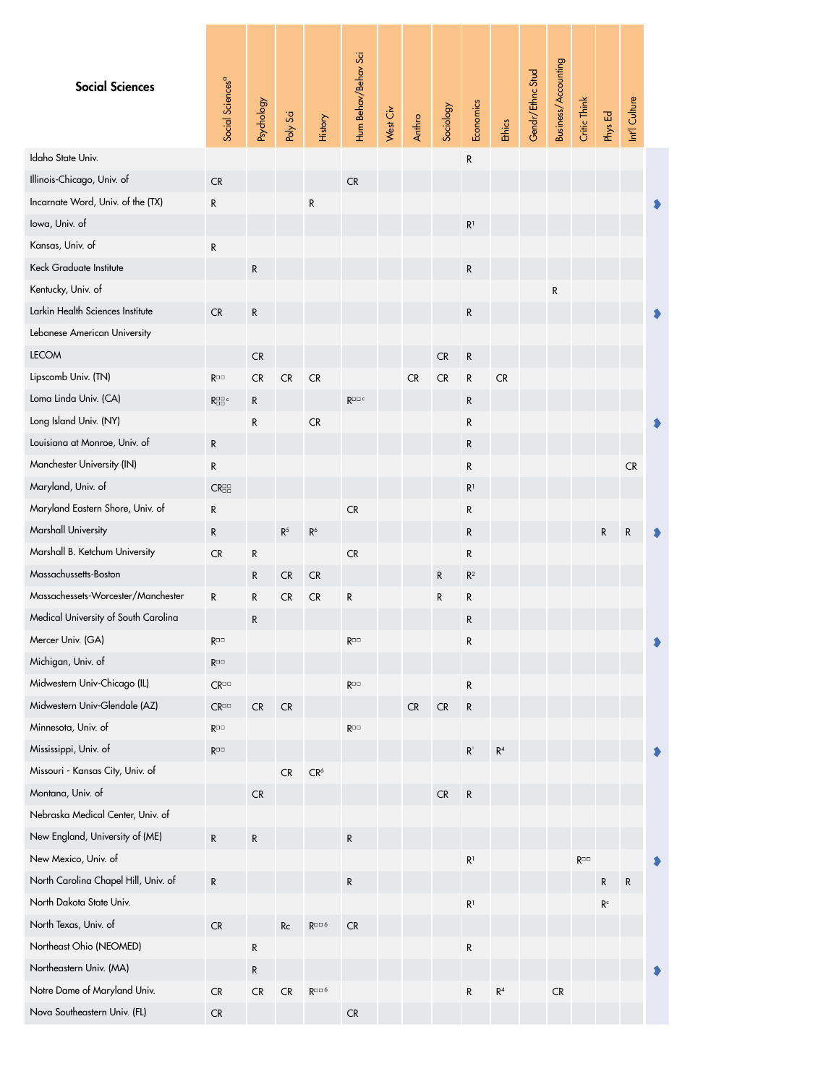<span id="page-9-0"></span>

| <b>Social Sciences</b>               | Social Sciences <sup>a</sup>                                                                                                                                 | Psychology | Poly Sci       | History                          | Hum Behav/Behav Sci | West Civ | Anthro    | Sociology  | Economics                            | Ethics         | Gendr/Ethnc Stud | Business/Accounting | Critic Think   | Phys Ed                 | Int'l Culture |  |
|--------------------------------------|--------------------------------------------------------------------------------------------------------------------------------------------------------------|------------|----------------|----------------------------------|---------------------|----------|-----------|------------|--------------------------------------|----------------|------------------|---------------------|----------------|-------------------------|---------------|--|
| Idaho State Univ.                    |                                                                                                                                                              |            |                |                                  |                     |          |           |            | R                                    |                |                  |                     |                |                         |               |  |
| Illinois-Chicago, Univ. of           | ${\sf CR}$                                                                                                                                                   |            |                |                                  | CR                  |          |           |            |                                      |                |                  |                     |                |                         |               |  |
| Incarnate Word, Univ. of the (TX)    | R                                                                                                                                                            |            |                | ${\sf R}$                        |                     |          |           |            |                                      |                |                  |                     |                |                         |               |  |
| lowa, Univ. of                       |                                                                                                                                                              |            |                |                                  |                     |          |           |            | R <sup>1</sup>                       |                |                  |                     |                |                         |               |  |
| Kansas, Univ. of                     | R                                                                                                                                                            |            |                |                                  |                     |          |           |            |                                      |                |                  |                     |                |                         |               |  |
| Keck Graduate Institute              |                                                                                                                                                              | R          |                |                                  |                     |          |           |            | R                                    |                |                  |                     |                |                         |               |  |
| Kentucky, Univ. of                   |                                                                                                                                                              |            |                |                                  |                     |          |           |            |                                      |                |                  | $\mathsf{R}$        |                |                         |               |  |
| Larkin Health Sciences Institute     | CR                                                                                                                                                           | R          |                |                                  |                     |          |           |            | R                                    |                |                  |                     |                |                         |               |  |
| Lebanese American University         |                                                                                                                                                              |            |                |                                  |                     |          |           |            |                                      |                |                  |                     |                |                         |               |  |
| <b>LECOM</b>                         |                                                                                                                                                              | ${\sf CR}$ |                |                                  |                     |          |           | ${\sf CR}$ | ${\sf R}$                            |                |                  |                     |                |                         |               |  |
| Lipscomb Univ. (TN)                  | $\mathsf{R}^{\square\square}$                                                                                                                                | CR         | CR             | CR                               |                     |          | <b>CR</b> | ${\sf CR}$ | ${\sf R}$                            | CR             |                  |                     |                |                         |               |  |
| Loma Linda Univ. (CA)                | $R^{\scriptscriptstyle \square\hspace{-0.5pt} \square\hspace{-0.5pt} \square\hspace{-0.5pt} \mathrm{c}}_{\scriptscriptstyle \square\hspace{-0.5pt} \square}$ | R          |                |                                  | $R^{\Box\Box\ c}$   |          |           |            | R                                    |                |                  |                     |                |                         |               |  |
| Long Island Univ. (NY)               |                                                                                                                                                              | R          |                | CR                               |                     |          |           |            | R                                    |                |                  |                     |                |                         |               |  |
| Louisiana at Monroe, Univ. of        | R                                                                                                                                                            |            |                |                                  |                     |          |           |            | R                                    |                |                  |                     |                |                         |               |  |
| Manchester University (IN)           | R                                                                                                                                                            |            |                |                                  |                     |          |           |            | R                                    |                |                  |                     |                |                         | <b>CR</b>     |  |
| Maryland, Univ. of                   | $CR_{\Box}^{\Box\Box}$                                                                                                                                       |            |                |                                  |                     |          |           |            | R <sup>1</sup>                       |                |                  |                     |                |                         |               |  |
| Maryland Eastern Shore, Univ. of     | R                                                                                                                                                            |            |                |                                  | ${\sf CR}$          |          |           |            | R                                    |                |                  |                     |                |                         |               |  |
| Marshall University                  | $\mathsf{R}$                                                                                                                                                 |            | $\mathsf{R}^5$ | $R^6$                            |                     |          |           |            | ${\sf R}$                            |                |                  |                     |                | R                       | R             |  |
| Marshall B. Ketchum University       | ${\sf CR}$                                                                                                                                                   | R          |                |                                  | ${\sf CR}$          |          |           |            | R                                    |                |                  |                     |                |                         |               |  |
| Massachussetts-Boston                |                                                                                                                                                              | R          | <b>CR</b>      | ${\sf CR}$                       |                     |          |           | R          | $\mathsf{R}^2$                       |                |                  |                     |                |                         |               |  |
| Massachessets-Worcester/Manchester   | R                                                                                                                                                            | R          | CR             | CR                               | ${\sf R}$           |          |           | ${\sf R}$  | R                                    |                |                  |                     |                |                         |               |  |
| Medical University of South Carolina |                                                                                                                                                              | R          |                |                                  |                     |          |           |            | R                                    |                |                  |                     |                |                         |               |  |
| Mercer Univ. (GA)                    | $\mathsf{R}^{\square\square}$                                                                                                                                |            |                |                                  | $R^{\Box\Box}$      |          |           |            | R                                    |                |                  |                     |                |                         |               |  |
| Michigan, Univ. of                   | $\mathsf{R}^{\square\square}$                                                                                                                                |            |                |                                  |                     |          |           |            |                                      |                |                  |                     |                |                         |               |  |
| Midwestern Univ-Chicago (IL)         | $CR^{\Box}$                                                                                                                                                  |            |                |                                  | $R^{\Box\Box}$      |          |           |            | ${\sf R}$                            |                |                  |                     |                |                         |               |  |
| Midwestern Univ-Glendale (AZ)        | $\mathsf{CR}^{\square\square}$                                                                                                                               | CR         | CR             |                                  |                     |          | CR        | ${\sf CR}$ | ${\sf R}$                            |                |                  |                     |                |                         |               |  |
| Minnesota, Univ. of                  | $R^{\Box\Box}$                                                                                                                                               |            |                |                                  | $R^{\Box\Box}$      |          |           |            |                                      |                |                  |                     |                |                         |               |  |
| Mississippi, Univ. of                | $R^{\Box\Box}$                                                                                                                                               |            |                |                                  |                     |          |           |            | $\mathsf{R}^{\scriptscriptstyle{1}}$ | $\mathsf{R}^4$ |                  |                     |                |                         |               |  |
| Missouri - Kansas City, Univ. of     |                                                                                                                                                              |            | CR             | $\mathsf{CR}^6$                  |                     |          |           |            |                                      |                |                  |                     |                |                         |               |  |
| Montana, Univ. of                    |                                                                                                                                                              | CR         |                |                                  |                     |          |           | CR         | R                                    |                |                  |                     |                |                         |               |  |
| Nebraska Medical Center, Univ. of    |                                                                                                                                                              |            |                |                                  |                     |          |           |            |                                      |                |                  |                     |                |                         |               |  |
| New England, University of (ME)      | ${\sf R}$                                                                                                                                                    | R          |                |                                  | R                   |          |           |            |                                      |                |                  |                     |                |                         |               |  |
| New Mexico, Univ. of                 |                                                                                                                                                              |            |                |                                  |                     |          |           |            | R <sup>1</sup>                       |                |                  |                     | $R^{\Box\Box}$ |                         |               |  |
| North Carolina Chapel Hill, Univ. of | ${\sf R}$                                                                                                                                                    |            |                |                                  | R                   |          |           |            |                                      |                |                  |                     |                | R                       | R             |  |
| North Dakota State Univ.             |                                                                                                                                                              |            |                |                                  |                     |          |           |            | $\mathsf{R}^1$                       |                |                  |                     |                | $\mathsf{R}^\mathsf{c}$ |               |  |
| North Texas, Univ. of                | CR                                                                                                                                                           |            | Rc             | R <sup>□□6</sup>                 | CR                  |          |           |            |                                      |                |                  |                     |                |                         |               |  |
| Northeast Ohio (NEOMED)              |                                                                                                                                                              | R          |                |                                  |                     |          |           |            | R                                    |                |                  |                     |                |                         |               |  |
| Northeastern Univ. (MA)              |                                                                                                                                                              | R          |                |                                  |                     |          |           |            |                                      |                |                  |                     |                |                         |               |  |
| Notre Dame of Maryland Univ.         | CR                                                                                                                                                           | <b>CR</b>  | CR             | $\mathsf{R}^{\square\square\,6}$ |                     |          |           |            | ${\sf R}$                            | $\mathsf{R}^4$ |                  | <b>CR</b>           |                |                         |               |  |
| Nova Southeastern Univ. (FL)         | CR                                                                                                                                                           |            |                |                                  | ${\sf CR}$          |          |           |            |                                      |                |                  |                     |                |                         |               |  |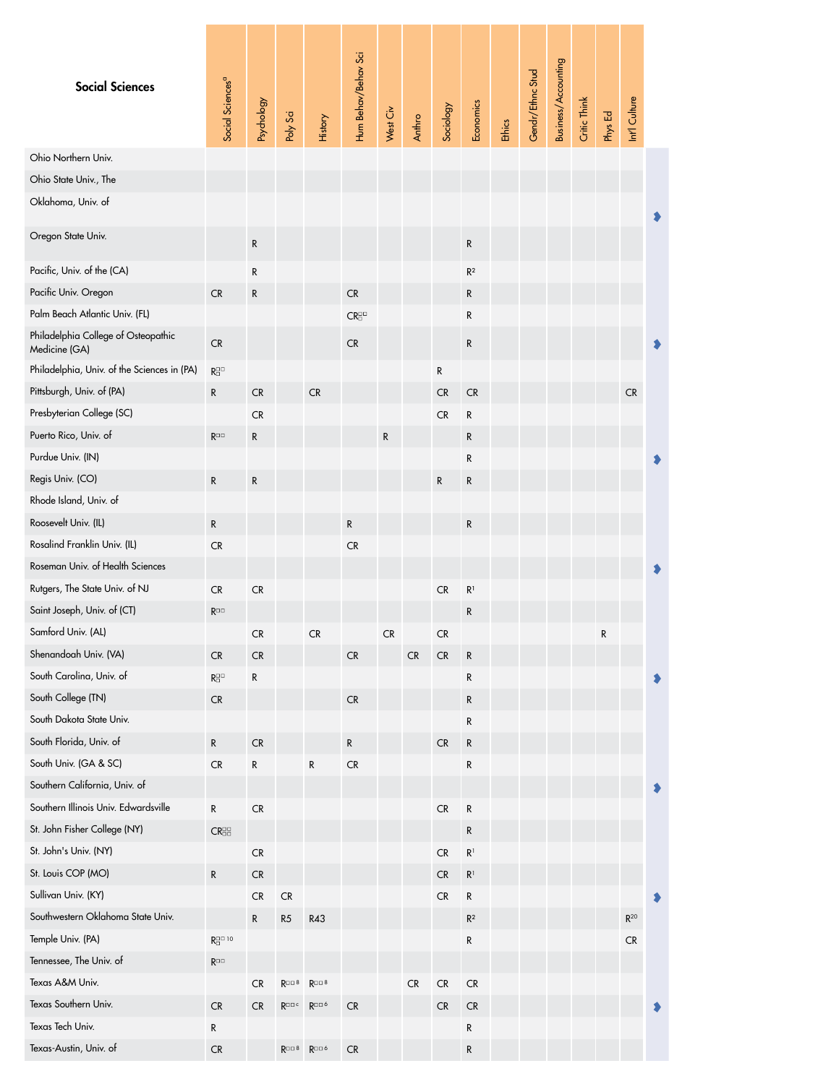<span id="page-10-0"></span>

| <b>Social Sciences</b>                                                | Social Sciences <sup>a</sup>          | Psychology               | Poly Sci                | History                                         | Hum Behav/Behav Sci             | West Civ | Anthro     | Sociology               | Economics                        | Ethics | Gendr/Ethnc Stud | Business/Accounting | Critic Think | Phys Ed | Int'l Culture |  |
|-----------------------------------------------------------------------|---------------------------------------|--------------------------|-------------------------|-------------------------------------------------|---------------------------------|----------|------------|-------------------------|----------------------------------|--------|------------------|---------------------|--------------|---------|---------------|--|
| Ohio Northern Univ.                                                   |                                       |                          |                         |                                                 |                                 |          |            |                         |                                  |        |                  |                     |              |         |               |  |
| Ohio State Univ., The                                                 |                                       |                          |                         |                                                 |                                 |          |            |                         |                                  |        |                  |                     |              |         |               |  |
| Oklahoma, Univ. of                                                    |                                       |                          |                         |                                                 |                                 |          |            |                         |                                  |        |                  |                     |              |         |               |  |
| Oregon State Univ.                                                    |                                       | ${\sf R}$                |                         |                                                 |                                 |          |            |                         | ${\sf R}$                        |        |                  |                     |              |         |               |  |
| Pacific, Univ. of the (CA)                                            |                                       | ${\sf R}$                |                         |                                                 |                                 |          |            |                         | R <sup>2</sup>                   |        |                  |                     |              |         |               |  |
| Pacific Univ. Oregon                                                  | <b>CR</b>                             | R                        |                         |                                                 | <b>CR</b>                       |          |            |                         | ${\sf R}$                        |        |                  |                     |              |         |               |  |
| Palm Beach Atlantic Univ. (FL)                                        |                                       |                          |                         |                                                 | $CR^{\square\square}_{\square}$ |          |            |                         | R                                |        |                  |                     |              |         |               |  |
| Philadelphia College of Osteopathic<br>Medicine (GA)                  | ${\sf CR}$                            |                          |                         |                                                 | <b>CR</b>                       |          |            |                         | R                                |        |                  |                     |              |         |               |  |
| Philadelphia, Univ. of the Sciences in (PA)                           | $\mathsf{R}^{\square\square}_\square$ |                          |                         |                                                 |                                 |          |            | ${\sf R}$               |                                  |        |                  |                     |              |         |               |  |
| Pittsburgh, Univ. of (PA)                                             | R                                     | CR                       |                         | CR                                              |                                 |          |            | ${\sf CR}$              | CR                               |        |                  |                     |              |         | CR            |  |
| Presbyterian College (SC)                                             |                                       | <b>CR</b>                |                         |                                                 |                                 |          |            | CR                      | R                                |        |                  |                     |              |         |               |  |
| Puerto Rico, Univ. of                                                 | $R^{\Box\Box}$                        | ${\sf R}$                |                         |                                                 |                                 | R        |            |                         | R                                |        |                  |                     |              |         |               |  |
| Purdue Univ. (IN)                                                     |                                       |                          |                         |                                                 |                                 |          |            |                         | R                                |        |                  |                     |              |         |               |  |
| Regis Univ. (CO)                                                      | R                                     | ${\sf R}$                |                         |                                                 |                                 |          |            | ${\sf R}$               | R                                |        |                  |                     |              |         |               |  |
| Rhode Island, Univ. of                                                |                                       |                          |                         |                                                 |                                 |          |            |                         |                                  |        |                  |                     |              |         |               |  |
| Roosevelt Univ. (IL)                                                  | R                                     |                          |                         |                                                 | ${\sf R}$                       |          |            |                         | R                                |        |                  |                     |              |         |               |  |
| Rosalind Franklin Univ. (IL)                                          | ${\sf CR}$                            |                          |                         |                                                 | CR                              |          |            |                         |                                  |        |                  |                     |              |         |               |  |
| Roseman Univ. of Health Sciences                                      |                                       |                          |                         |                                                 |                                 |          |            |                         |                                  |        |                  |                     |              |         |               |  |
| Rutgers, The State Univ. of NJ                                        | CR                                    | ${\sf CR}$               |                         |                                                 |                                 |          |            | CR                      | R <sup>1</sup>                   |        |                  |                     |              |         |               |  |
| Saint Joseph, Univ. of (CT)                                           | $R^{\Box\Box}$                        |                          |                         |                                                 |                                 |          |            |                         | R                                |        |                  |                     |              |         |               |  |
| Samford Univ. (AL)                                                    |                                       | <b>CR</b>                |                         | CR                                              |                                 | CR       |            | <b>CR</b>               |                                  |        |                  |                     |              | R       |               |  |
| Shenandoah Univ. (VA)                                                 | CR                                    | ${\sf CR}$               |                         |                                                 | ${\sf CR}$                      |          | ${\sf CR}$ | ${\sf CR}$              | ${\sf R}$                        |        |                  |                     |              |         |               |  |
| South Carolina, Univ. of                                              | $R^{\square\square}_\square$          | ${\sf R}$                |                         |                                                 |                                 |          |            |                         | R                                |        |                  |                     |              |         |               |  |
| South College (TN)                                                    | <b>CR</b>                             |                          |                         |                                                 | <b>CR</b>                       |          |            |                         | ${\sf R}$                        |        |                  |                     |              |         |               |  |
| South Dakota State Univ.                                              |                                       |                          |                         |                                                 |                                 |          |            |                         | R                                |        |                  |                     |              |         |               |  |
| South Florida, Univ. of                                               | ${\sf R}$                             | ${\sf CR}$               |                         |                                                 | R                               |          |            | <b>CR</b>               | $\mathsf{R}$                     |        |                  |                     |              |         |               |  |
| South Univ. (GA & SC)                                                 | ${\sf CR}$                            | ${\sf R}$                |                         | R                                               | CR                              |          |            |                         | ${\sf R}$                        |        |                  |                     |              |         |               |  |
| Southern California, Univ. of<br>Southern Illinois Univ. Edwardsville |                                       |                          |                         |                                                 |                                 |          |            |                         |                                  |        |                  |                     |              |         |               |  |
| St. John Fisher College (NY)                                          | ${\sf R}$                             | ${\sf CR}$               |                         |                                                 |                                 |          |            | <b>CR</b>               | R                                |        |                  |                     |              |         |               |  |
| St. John's Univ. (NY)                                                 | CR <sub>II</sub>                      |                          |                         |                                                 |                                 |          |            |                         | ${\sf R}$                        |        |                  |                     |              |         |               |  |
| St. Louis COP (MO)                                                    | R                                     | ${\sf CR}$<br>${\sf CR}$ |                         |                                                 |                                 |          |            | ${\sf CR}$<br><b>CR</b> | $\mathsf{R}^1$<br>R <sup>1</sup> |        |                  |                     |              |         |               |  |
| Sullivan Univ. (KY)                                                   |                                       | CR                       | ${\sf CR}$              |                                                 |                                 |          |            | <b>CR</b>               | ${\sf R}$                        |        |                  |                     |              |         |               |  |
| Southwestern Oklahoma State Univ.                                     |                                       | R                        | R5                      | R43                                             |                                 |          |            |                         | $\mathsf{R}^2$                   |        |                  |                     |              |         | $R^{20}$      |  |
| Temple Univ. (PA)                                                     | $R^{\square\square\ 10}_\square$      |                          |                         |                                                 |                                 |          |            |                         | R                                |        |                  |                     |              |         | CR            |  |
| Tennessee, The Univ. of                                               | $R^{\Box\Box}$                        |                          |                         |                                                 |                                 |          |            |                         |                                  |        |                  |                     |              |         |               |  |
| Texas A&M Univ.                                                       |                                       | ${\sf CR}$               | $R^{\square\square\ 8}$ | $R^{\square\square\ 8}$                         |                                 |          | ${\sf CR}$ | ${\sf CR}$              | CR                               |        |                  |                     |              |         |               |  |
| Texas Southern Univ.                                                  | <b>CR</b>                             | <b>CR</b>                | $R^{\Box\Box\ C}$       | $R^{\Box\Box\ 6}$                               | CR                              |          |            | <b>CR</b>               | <b>CR</b>                        |        |                  |                     |              |         |               |  |
| Texas Tech Univ.                                                      | R                                     |                          |                         |                                                 |                                 |          |            |                         | R                                |        |                  |                     |              |         |               |  |
| Texas-Austin, Univ. of                                                | ${\sf CR}$                            |                          |                         | $R^{\square\square\ 8}$ $R^{\square\square\ 6}$ | ${\sf CR}$                      |          |            |                         | ${\sf R}$                        |        |                  |                     |              |         |               |  |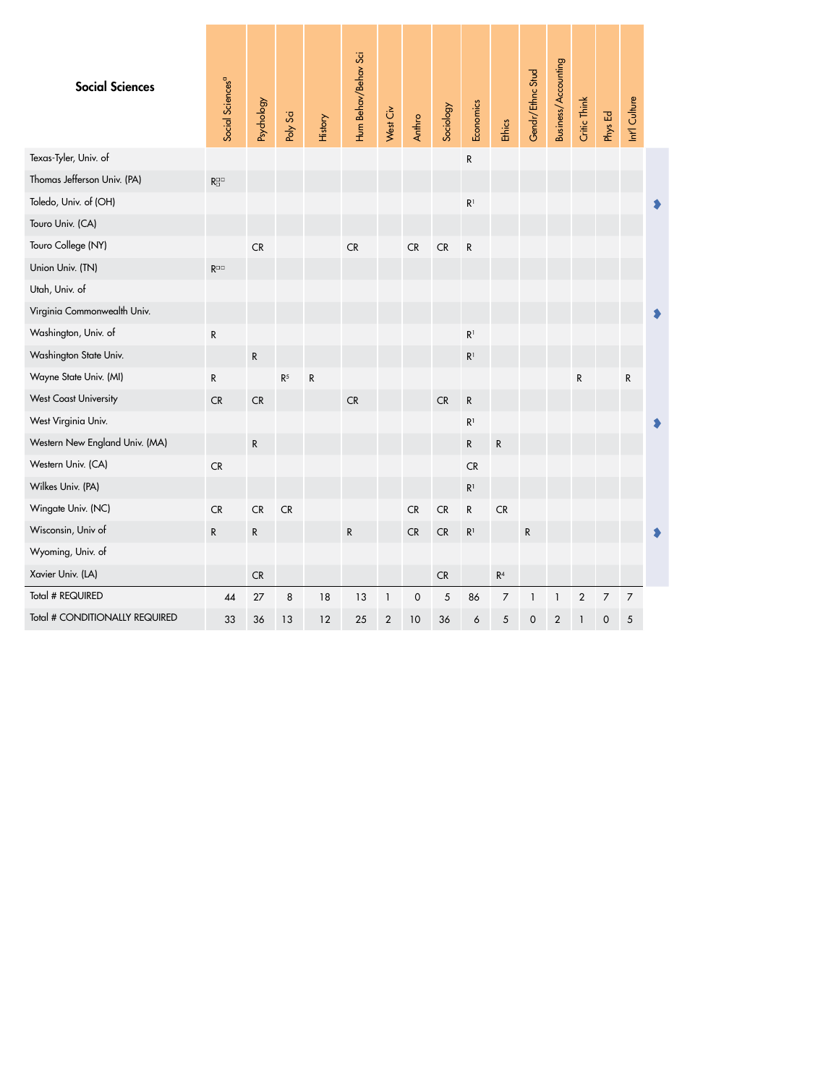<span id="page-11-0"></span>

| <b>Social Sciences</b>         | Social Sciences <sup>a</sup>          | Psychology | Poly Sci       | History   | Hum Behav/Behav Sci | West Civ     | Anthro              | Sociology  | Economics      | Ethics           | Gendr/Ethnc Stud    | Business/Accounting | Critic Think | Phys Ed        | Int'l Culture  |  |
|--------------------------------|---------------------------------------|------------|----------------|-----------|---------------------|--------------|---------------------|------------|----------------|------------------|---------------------|---------------------|--------------|----------------|----------------|--|
| Texas-Tyler, Univ. of          |                                       |            |                |           |                     |              |                     |            | ${\sf R}$      |                  |                     |                     |              |                |                |  |
| Thomas Jefferson Univ. (PA)    | $\mathsf{R}^{\square\square}_\square$ |            |                |           |                     |              |                     |            |                |                  |                     |                     |              |                |                |  |
| Toledo, Univ. of (OH)          |                                       |            |                |           |                     |              |                     |            | $\mathsf{R}^1$ |                  |                     |                     |              |                |                |  |
| Touro Univ. (CA)               |                                       |            |                |           |                     |              |                     |            |                |                  |                     |                     |              |                |                |  |
| Touro College (NY)             |                                       | CR         |                |           | CR                  |              | ${\sf CR}$          | CR         | ${\sf R}$      |                  |                     |                     |              |                |                |  |
| Union Univ. (TN)               | $R^{\Box\Box}$                        |            |                |           |                     |              |                     |            |                |                  |                     |                     |              |                |                |  |
| Utah, Univ. of                 |                                       |            |                |           |                     |              |                     |            |                |                  |                     |                     |              |                |                |  |
| Virginia Commonwealth Univ.    |                                       |            |                |           |                     |              |                     |            |                |                  |                     |                     |              |                |                |  |
| Washington, Univ. of           | R                                     |            |                |           |                     |              |                     |            | $\mathsf{R}^1$ |                  |                     |                     |              |                |                |  |
| Washington State Univ.         |                                       | ${\sf R}$  |                |           |                     |              |                     |            | $\mathsf{R}^1$ |                  |                     |                     |              |                |                |  |
| Wayne State Univ. (MI)         | R                                     |            | $\mathsf{R}^5$ | ${\sf R}$ |                     |              |                     |            |                |                  |                     |                     | ${\sf R}$    |                | ${\sf R}$      |  |
| <b>West Coast University</b>   | ${\sf CR}$                            | ${\sf CR}$ |                |           | CR                  |              |                     | ${\sf CR}$ | ${\sf R}$      |                  |                     |                     |              |                |                |  |
| West Virginia Univ.            |                                       |            |                |           |                     |              |                     |            | $\mathsf{R}^1$ |                  |                     |                     |              |                |                |  |
| Western New England Univ. (MA) |                                       | ${\sf R}$  |                |           |                     |              |                     |            | ${\sf R}$      | ${\sf R}$        |                     |                     |              |                |                |  |
| Western Univ. (CA)             | CR                                    |            |                |           |                     |              |                     |            | <b>CR</b>      |                  |                     |                     |              |                |                |  |
| Wilkes Univ. (PA)              |                                       |            |                |           |                     |              |                     |            | $\mathsf{R}^1$ |                  |                     |                     |              |                |                |  |
| Wingate Univ. (NC)             | CR                                    | CR         | CR             |           |                     |              | CR                  | CR         | R              | <b>CR</b>        |                     |                     |              |                |                |  |
| Wisconsin, Univ of             | R                                     | ${\sf R}$  |                |           | ${\sf R}$           |              | CR                  | CR         | $\mathsf{R}^1$ |                  | ${\sf R}$           |                     |              |                |                |  |
| Wyoming, Univ. of              |                                       |            |                |           |                     |              |                     |            |                |                  |                     |                     |              |                |                |  |
| Xavier Univ. (LA)              |                                       | CR         |                |           |                     |              |                     | CR         |                | $\mathsf{R}^4$   |                     |                     |              |                |                |  |
| Total # REQUIRED               | 44                                    | 27         | 8              | 18        | 13                  | $\mathbf{1}$ | $\mathsf{O}\xspace$ | 5          | 86             | $\boldsymbol{7}$ | $\mathbf{1}$        | $\mathbf{1}$        | $\sqrt{2}$   | $\overline{7}$ | $\overline{7}$ |  |
| Total # CONDITIONALLY REQUIRED | 33                                    | 36         | 13             | 12        | 25                  | $\sqrt{2}$   | 10                  | 36         | 6              | $\sqrt{5}$       | $\mathsf{O}\xspace$ | $\boldsymbol{2}$    | $\mathbf{1}$ | 0              | 5              |  |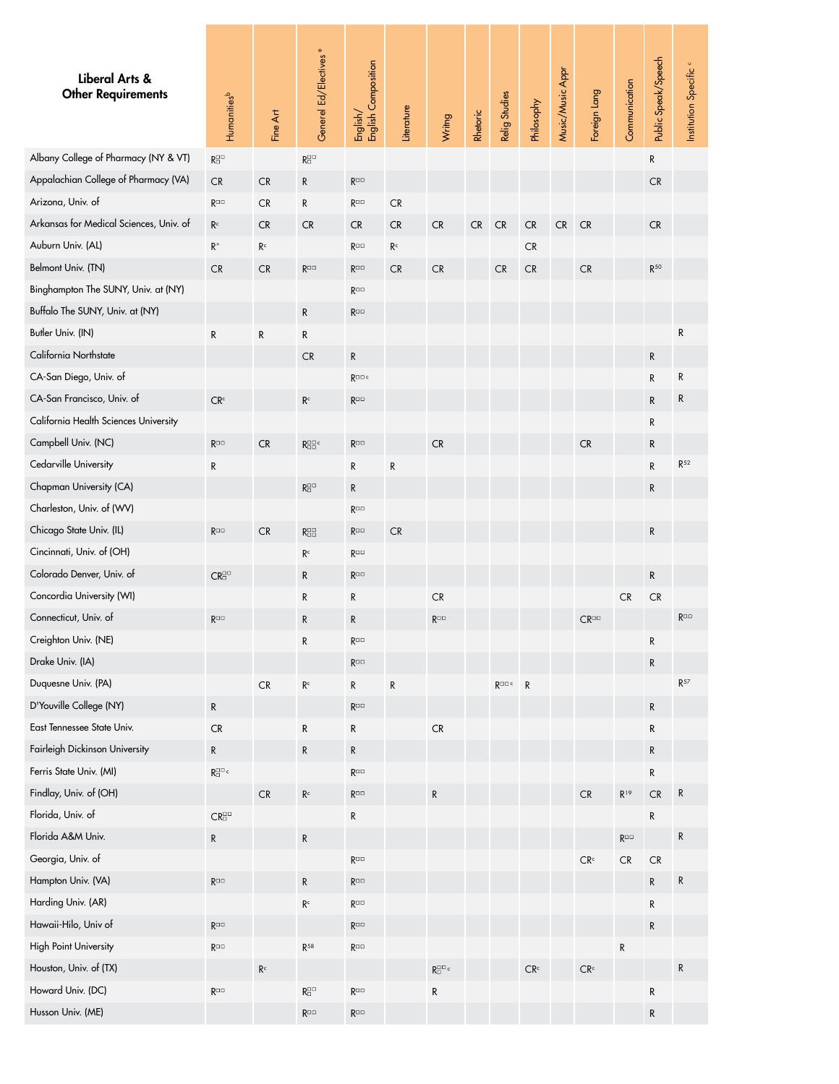<span id="page-12-0"></span>

| Liberal Arts &<br><b>Other Requirements</b> | Humanitiesb                                               | Fine Art                | Generel Ed/Electives <sup>e</sup>         | English/<br>English Composition | Literature              | Wrimg                               | Rhetoric   | Relig Studies       | Philosophy               | Music/Music Appr | Foreign Lang             | Communication  | Public Speak/Speech | Institution Specific <sup>c</sup> |
|---------------------------------------------|-----------------------------------------------------------|-------------------------|-------------------------------------------|---------------------------------|-------------------------|-------------------------------------|------------|---------------------|--------------------------|------------------|--------------------------|----------------|---------------------|-----------------------------------|
| Albany College of Pharmacy (NY & VT)        | $\mathsf{R}^{\boxdot\Box}_{\boxdot}$                      |                         | $R^{\square\square}_{\square}$            |                                 |                         |                                     |            |                     |                          |                  |                          |                | R                   |                                   |
| Appalachian College of Pharmacy (VA)        | <b>CR</b>                                                 | <b>CR</b>               | ${\sf R}$                                 | $R^{\Box\Box}$                  |                         |                                     |            |                     |                          |                  |                          |                | <b>CR</b>           |                                   |
| Arizona, Univ. of                           | $R^{\Box\Box}$                                            | <b>CR</b>               | R                                         | $R^{\Box\Box}$                  | ${\sf CR}$              |                                     |            |                     |                          |                  |                          |                |                     |                                   |
| Arkansas for Medical Sciences, Univ. of     | R <sup>c</sup>                                            | CR                      | <b>CR</b>                                 | <b>CR</b>                       | CR                      | <b>CR</b>                           | ${\sf CR}$ | ${\sf CR}$          | ${\sf CR}$               | ${\sf CR}$       | <b>CR</b>                |                | CR                  |                                   |
| Auburn Univ. (AL)                           | $\rm R^{\wedge}$                                          | $\mathsf{R}^\mathsf{c}$ |                                           | $R^{\Box\Box}$                  | $\mathsf{R}^\mathsf{c}$ |                                     |            |                     | <b>CR</b>                |                  |                          |                |                     |                                   |
| Belmont Univ. (TN)                          | <b>CR</b>                                                 | <b>CR</b>               | $R^{\Box\Box}$                            | $R^{\Box\Box}$                  | CR                      | CR                                  |            | <b>CR</b>           | CR                       |                  | <b>CR</b>                |                | $R^{50}$            |                                   |
| Binghampton The SUNY, Univ. at (NY)         |                                                           |                         |                                           | $R^{\Box\Box}$                  |                         |                                     |            |                     |                          |                  |                          |                |                     |                                   |
| Buffalo The SUNY, Univ. at (NY)             |                                                           |                         | $\mathsf{R}$                              | $\mathsf{R}^{\square\square}$   |                         |                                     |            |                     |                          |                  |                          |                |                     |                                   |
| Butler Univ. (IN)                           | ${\sf R}$                                                 | ${\sf R}$               | R                                         |                                 |                         |                                     |            |                     |                          |                  |                          |                |                     | R                                 |
| California Northstate                       |                                                           |                         | <b>CR</b>                                 | R                               |                         |                                     |            |                     |                          |                  |                          |                | ${\sf R}$           |                                   |
| CA-San Diego, Univ. of                      |                                                           |                         |                                           | $R^{\Box\Box\ c}$               |                         |                                     |            |                     |                          |                  |                          |                | ${\sf R}$           | R                                 |
| CA-San Francisco, Univ. of                  | CR <sup>c</sup>                                           |                         | $\mathsf{R}^\mathsf{c}$                   | $R^{\Box\Box}$                  |                         |                                     |            |                     |                          |                  |                          |                | ${\sf R}$           | R                                 |
| California Health Sciences University       |                                                           |                         |                                           |                                 |                         |                                     |            |                     |                          |                  |                          |                | $\mathsf{R}$        |                                   |
| Campbell Univ. (NC)                         | $\mathsf{R}^{\square\square}$                             | CR                      | $R_{\Box}^{\Box\Box}$                     | $\mathsf{R}^{\square\square}$   |                         | <b>CR</b>                           |            |                     |                          |                  | <b>CR</b>                |                | R                   |                                   |
| Cedarville University                       | ${\sf R}$                                                 |                         |                                           | $\mathsf{R}$                    | ${\sf R}$               |                                     |            |                     |                          |                  |                          |                | ${\sf R}$           | $\mathsf{R}^{52}$                 |
| Chapman University (CA)                     |                                                           |                         | $\mathsf{R}^{\square\square}_\square$     | R                               |                         |                                     |            |                     |                          |                  |                          |                | $\mathsf R$         |                                   |
| Charleston, Univ. of (WV)                   |                                                           |                         |                                           | $R^{\Box\Box}$                  |                         |                                     |            |                     |                          |                  |                          |                |                     |                                   |
| Chicago State Univ. (IL)                    | $R^{\Box\Box}$                                            | CR                      | $R_{\Box}^{\Box\Box}$                     | $R^{\Box\Box}$                  | CR                      |                                     |            |                     |                          |                  |                          |                | ${\sf R}$           |                                   |
| Cincinnati, Univ. of (OH)                   |                                                           |                         | $\mathsf{R}^\mathsf{c}$                   | $R^{\Box\Box}$                  |                         |                                     |            |                     |                          |                  |                          |                |                     |                                   |
| Colorado Denver, Univ. of                   | $CR^{\square\square}_{\square}$                           |                         | ${\sf R}$                                 | $\mathsf{R}^{\square\square}$   |                         |                                     |            |                     |                          |                  |                          |                | $\mathsf{R}$        |                                   |
| Concordia University (WI)                   |                                                           |                         | ${\sf R}$                                 | R                               |                         | ${\sf CR}$                          |            |                     |                          |                  |                          | ${\sf CR}$     | CR                  |                                   |
| Connecticut, Univ. of                       | $R^{\Box\Box}$                                            |                         | $\mathsf R$                               | R                               |                         | $R^{\square\square}$                |            |                     |                          |                  | $CR^{\Box}$              |                |                     | $R^{\Box\Box}$                    |
| Creighton Univ. (NE)                        |                                                           |                         | R                                         | $R^{\Box\Box}$                  |                         |                                     |            |                     |                          |                  |                          |                | R                   |                                   |
| Drake Univ. (IA)                            |                                                           |                         |                                           | $R^{\Box\Box}$                  |                         |                                     |            |                     |                          |                  |                          |                | ${\sf R}$           |                                   |
| Duquesne Univ. (PA)                         |                                                           | ${\sf CR}$              | $\mathsf{R}^\mathsf{c}$                   | $\mathsf{R}$                    | ${\sf R}$               |                                     |            | $R^{\Box \Box c}$ R |                          |                  |                          |                |                     | $R^{57}$                          |
| D'Youville College (NY)                     | ${\sf R}$                                                 |                         |                                           | $R^{\Box\Box}$                  |                         |                                     |            |                     |                          |                  |                          |                | ${\sf R}$           |                                   |
| East Tennessee State Univ.                  | ${\sf CR}$                                                |                         | ${\sf R}$                                 | R                               |                         | CR                                  |            |                     |                          |                  |                          |                | ${\sf R}$           |                                   |
| Fairleigh Dickinson University              | ${\sf R}$                                                 |                         | ${\sf R}$                                 | R                               |                         |                                     |            |                     |                          |                  |                          |                | ${\sf R}$           |                                   |
| Ferris State Univ. (MI)                     | $\mathsf{R}^{\square\square\text{-}\mathsf{c}}_{\square}$ |                         |                                           | $R^{\Box\Box}$                  |                         |                                     |            |                     |                          |                  |                          |                | ${\sf R}$           |                                   |
| Findlay, Univ. of (OH)                      |                                                           | CR                      | $\mathsf{R}^\mathsf{c}$                   | $\mathsf{R}^{\square\square}$   |                         | R                                   |            |                     |                          |                  | ${\sf CR}$               | $R^{19}$       | CR                  | R                                 |
| Florida, Univ. of                           | $\mathsf{CR}^{\square\square}_{\square}$                  |                         |                                           | R                               |                         |                                     |            |                     |                          |                  |                          |                | ${\sf R}$           |                                   |
| Florida A&M Univ.                           | ${\sf R}$                                                 |                         | ${\sf R}$                                 |                                 |                         |                                     |            |                     |                          |                  |                          | $R^{\Box\Box}$ |                     | R                                 |
| Georgia, Univ. of                           |                                                           |                         |                                           | $R^{\Box\Box}$                  |                         |                                     |            |                     |                          |                  | $\mathsf{CR}^\mathsf{c}$ | CR             | CR                  |                                   |
| Hampton Univ. (VA)                          | $R^{\Box\Box}$                                            |                         | ${\sf R}$                                 | $\mathsf{R}^{\square\square}$   |                         |                                     |            |                     |                          |                  |                          |                | ${\sf R}$           | R                                 |
| Harding Univ. (AR)                          |                                                           |                         | $\mathsf{R}^\mathsf{c}$                   | $R^{\Box\Box}$                  |                         |                                     |            |                     |                          |                  |                          |                | ${\sf R}$           |                                   |
| Hawaii-Hilo, Univ of                        | $R^{\Box\Box}$                                            |                         |                                           | $R^{\Box\Box}$                  |                         |                                     |            |                     |                          |                  |                          |                | ${\sf R}$           |                                   |
| <b>High Point University</b>                | $\mathsf{R}^{\square\square}$                             |                         | R <sup>58</sup>                           | $R^{\Box\Box}$                  |                         |                                     |            |                     |                          |                  |                          | ${\sf R}$      |                     |                                   |
| Houston, Univ. of (TX)                      |                                                           | R <sup>c</sup>          |                                           |                                 |                         | $R^{\square\,\square\,c}_{\square}$ |            |                     | $\mathsf{CR}^\mathsf{c}$ |                  | $\mathsf{CR}^\mathsf{c}$ |                |                     | R                                 |
| Howard Univ. (DC)                           | $R^{\Box\Box}$                                            |                         | $\mathsf{R}^{\square\,\square}_{\square}$ | $R^{\Box\Box}$                  |                         | R                                   |            |                     |                          |                  |                          |                | ${\sf R}$           |                                   |
| Husson Univ. (ME)                           |                                                           |                         | $\mathsf{R}^{\square\,\square}$           | $\mathsf{R}^{\square\square}$   |                         |                                     |            |                     |                          |                  |                          |                | ${\sf R}$           |                                   |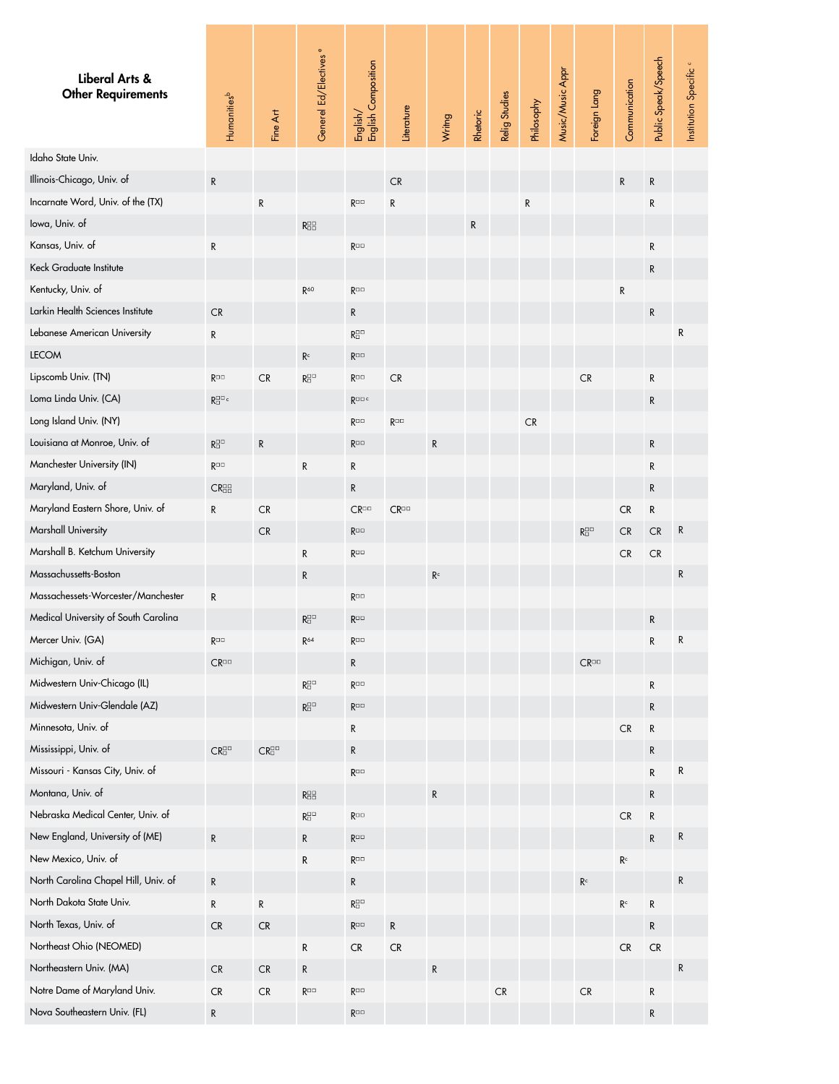<span id="page-13-0"></span>

| Liberal Arts &<br><b>Other Requirements</b> | Humanities <sup>b</sup>                                             | Fine Art                        | Generel Ed/Electives <sup>e</sup>       | English/<br>English Composition       | Literature      | Wrimg          | Rhetoric | Relig Studies | Philosophy | Music/Music Appr | Foreign Lang                              | Communication           | Public Speak/Speech | Institution Specific <sup>o</sup> |
|---------------------------------------------|---------------------------------------------------------------------|---------------------------------|-----------------------------------------|---------------------------------------|-----------------|----------------|----------|---------------|------------|------------------|-------------------------------------------|-------------------------|---------------------|-----------------------------------|
| Idaho State Univ.                           |                                                                     |                                 |                                         |                                       |                 |                |          |               |            |                  |                                           |                         |                     |                                   |
| Illinois-Chicago, Univ. of                  | $\mathsf{R}$                                                        |                                 |                                         |                                       | CR              |                |          |               |            |                  |                                           | ${\sf R}$               | R                   |                                   |
| Incarnate Word, Univ. of the (TX)           |                                                                     | ${\sf R}$                       |                                         | $R^{\Box\Box}$                        | ${\sf R}$       |                |          |               | R          |                  |                                           |                         | R                   |                                   |
| lowa, Univ. of                              |                                                                     |                                 | R <sub>0</sub> <sup>0</sup>             |                                       |                 |                | R        |               |            |                  |                                           |                         |                     |                                   |
| Kansas, Univ. of                            | ${\sf R}$                                                           |                                 |                                         | $R^{\Box\Box}$                        |                 |                |          |               |            |                  |                                           |                         | R                   |                                   |
| Keck Graduate Institute                     |                                                                     |                                 |                                         |                                       |                 |                |          |               |            |                  |                                           |                         | R                   |                                   |
| Kentucky, Univ. of                          |                                                                     |                                 | $R^{60}$                                | $R^{\Box\Box}$                        |                 |                |          |               |            |                  |                                           | ${\sf R}$               |                     |                                   |
| Larkin Health Sciences Institute            | <b>CR</b>                                                           |                                 |                                         | R                                     |                 |                |          |               |            |                  |                                           |                         | ${\sf R}$           |                                   |
| Lebanese American University                | ${\sf R}$                                                           |                                 |                                         | $\mathsf{R}^{\square\square}_\square$ |                 |                |          |               |            |                  |                                           |                         |                     | R                                 |
| <b>LECOM</b>                                |                                                                     |                                 | $\mathsf{R}^\mathsf{c}$                 | $R^{\Box\Box}$                        |                 |                |          |               |            |                  |                                           |                         |                     |                                   |
| Lipscomb Univ. (TN)                         | $R^{\Box\Box}$                                                      | CR                              | $\mathsf{R}^{\square\square}_\square$   | $R^{\Box\Box}$                        | CR              |                |          |               |            |                  | CR                                        |                         | R                   |                                   |
| Loma Linda Univ. (CA)                       | $\mathsf{R}^{\square\square\,\mathsf{c}}_\square$                   |                                 |                                         | $R^{\Box\Box\ c}$                     |                 |                |          |               |            |                  |                                           |                         | R                   |                                   |
| Long Island Univ. (NY)                      |                                                                     |                                 |                                         | $R^{\Box\Box}$                        | $R^{\Box\Box}$  |                |          |               | CR         |                  |                                           |                         |                     |                                   |
| Louisiana at Monroe, Univ. of               | $\mathsf{R}^{\boxdot\Box}_{\boxdot}$                                | $\mathsf{R}$                    |                                         | $R^{\Box\Box}$                        |                 | $\mathsf{R}$   |          |               |            |                  |                                           |                         | ${\sf R}$           |                                   |
| Manchester University (IN)                  | $R^{\Box\Box}$                                                      |                                 | ${\sf R}$                               | R                                     |                 |                |          |               |            |                  |                                           |                         | R                   |                                   |
| Maryland, Univ. of                          | $CR_{\Box}^{\Box\Box}$                                              |                                 |                                         | R                                     |                 |                |          |               |            |                  |                                           |                         | R                   |                                   |
| Maryland Eastern Shore, Univ. of            | ${\sf R}$                                                           | CR                              |                                         | $CR^{\square\square}$                 | $CR^{\Box\Box}$ |                |          |               |            |                  |                                           | <b>CR</b>               | R                   |                                   |
| Marshall University                         |                                                                     | ${\sf CR}$                      |                                         | $R^{\Box\Box}$                        |                 |                |          |               |            |                  | $\mathsf{R}^{\square\,\square}_{\square}$ | CR                      | CR                  | R                                 |
| Marshall B. Ketchum University              |                                                                     |                                 | ${\sf R}$                               | $R^{\Box\Box}$                        |                 |                |          |               |            |                  |                                           | ${\sf CR}$              | ${\sf CR}$          |                                   |
| Massachussetts-Boston                       |                                                                     |                                 | $\mathsf R$                             |                                       |                 | R <sup>c</sup> |          |               |            |                  |                                           |                         |                     | R                                 |
| Massachessets-Worcester/Manchester          | ${\sf R}$                                                           |                                 |                                         | $R^{\Box\Box}$                        |                 |                |          |               |            |                  |                                           |                         |                     |                                   |
| Medical University of South Carolina        |                                                                     |                                 | $R^{\square\square}_{\square}$          | $R^{\Box\Box}$                        |                 |                |          |               |            |                  |                                           |                         | ${\sf R}$           |                                   |
| Mercer Univ. (GA)                           | $R^{\square\square}$                                                |                                 | $R^{64}$                                | $R^{\Box\Box}$                        |                 |                |          |               |            |                  |                                           |                         | R                   |                                   |
| Michigan, Univ. of                          | $CR^{\Box}$                                                         |                                 |                                         | R                                     |                 |                |          |               |            |                  | $CR^{\Box}$                               |                         |                     |                                   |
| Midwestern Univ-Chicago (IL)                |                                                                     |                                 | $\mathsf{R}^{\square\square}_\square$   | $R^{\Box\Box}$                        |                 |                |          |               |            |                  |                                           |                         | R                   |                                   |
| Midwestern Univ-Glendale (AZ)               |                                                                     |                                 | $\mathsf{R}^{\square\square}_{\square}$ | $R^{\Box\Box}$                        |                 |                |          |               |            |                  |                                           |                         | R                   |                                   |
| Minnesota, Univ. of                         |                                                                     |                                 |                                         | R                                     |                 |                |          |               |            |                  |                                           | ${\sf CR}$              | R                   |                                   |
| Mississippi, Univ. of                       | $\mathsf{CR}^{\scriptscriptstyle\Box\Box}_{\scriptscriptstyle\Box}$ | $CR^{\square\square}_{\square}$ |                                         | R                                     |                 |                |          |               |            |                  |                                           |                         | R                   |                                   |
| Missouri - Kansas City, Univ. of            |                                                                     |                                 |                                         | $R^{\Box\Box}$                        |                 |                |          |               |            |                  |                                           |                         | R                   | R                                 |
| Montana, Univ. of                           |                                                                     |                                 | $R_{\Box}^{\Box}$                       |                                       |                 | ${\sf R}$      |          |               |            |                  |                                           |                         | R                   |                                   |
| Nebraska Medical Center, Univ. of           |                                                                     |                                 | $\mathsf{R}^{\square\square}_\square$   | $R^{\Box\Box}$                        |                 |                |          |               |            |                  |                                           | ${\sf CR}$              | R                   |                                   |
| New England, University of (ME)             | ${\sf R}$                                                           |                                 | ${\sf R}$                               | $R^{\Box\Box}$                        |                 |                |          |               |            |                  |                                           |                         | R                   | R                                 |
| New Mexico, Univ. of                        |                                                                     |                                 | ${\sf R}$                               | $\mathsf{R}^{\square\square}$         |                 |                |          |               |            |                  |                                           | $\mathsf{R}^\mathsf{c}$ |                     |                                   |
| North Carolina Chapel Hill, Univ. of        | ${\sf R}$                                                           |                                 |                                         | R                                     |                 |                |          |               |            |                  | $\mathsf{R}^\mathsf{c}$                   |                         |                     | R                                 |
| North Dakota State Univ.                    | ${\sf R}$                                                           | R                               |                                         | $\mathsf{R}^{\square\square}_\square$ |                 |                |          |               |            |                  |                                           | $\mathsf{R}^\mathsf{c}$ | R                   |                                   |
| North Texas, Univ. of                       | <b>CR</b>                                                           | <b>CR</b>                       |                                         | $\mathsf{R}^{\square\square}$         | R               |                |          |               |            |                  |                                           |                         | R                   |                                   |
| Northeast Ohio (NEOMED)                     |                                                                     |                                 | ${\sf R}$                               | ${\sf CR}$                            | ${\sf CR}$      |                |          |               |            |                  |                                           | ${\sf CR}$              | ${\sf CR}$          |                                   |
| Northeastern Univ. (MA)                     | <b>CR</b>                                                           | CR                              | ${\sf R}$                               |                                       |                 | $\mathsf{R}$   |          |               |            |                  |                                           |                         |                     | R                                 |
| Notre Dame of Maryland Univ.                | <b>CR</b>                                                           | CR                              | $R^{\square\square}$                    | $R^{\Box\Box}$                        |                 |                |          | CR            |            |                  | ${\sf CR}$                                |                         | R                   |                                   |
| Nova Southeastern Univ. (FL)                | ${\sf R}$                                                           |                                 |                                         | $\mathsf{R}^{\square\square}$         |                 |                |          |               |            |                  |                                           |                         | ${\sf R}$           |                                   |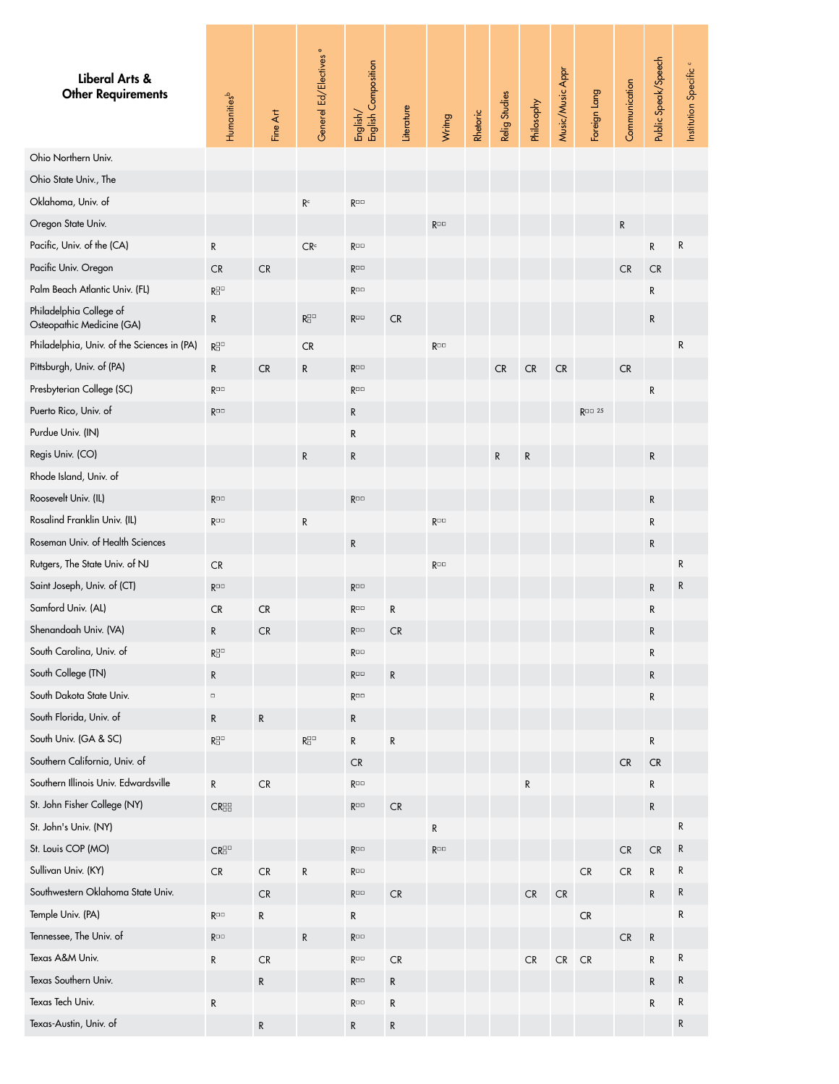<span id="page-14-0"></span>

| Liberal Arts &<br><b>Other Requirements</b>          | Humanities <sup>b</sup>                                             | Fine Art  | Generel Ed/Electives <sup>e</sup>         | English/<br>English Composition | Literature | Wrimg                | Rhetoric | Relig Studies | Philosophy | Music/Music Appr | Foreign Lang      | Communication | Public Speak/Speech | Institution Specific <sup>c</sup> |
|------------------------------------------------------|---------------------------------------------------------------------|-----------|-------------------------------------------|---------------------------------|------------|----------------------|----------|---------------|------------|------------------|-------------------|---------------|---------------------|-----------------------------------|
| Ohio Northern Univ.                                  |                                                                     |           |                                           |                                 |            |                      |          |               |            |                  |                   |               |                     |                                   |
| Ohio State Univ., The                                |                                                                     |           |                                           |                                 |            |                      |          |               |            |                  |                   |               |                     |                                   |
| Oklahoma, Univ. of                                   |                                                                     |           | $\mathsf{R}^\mathsf{c}$                   | $\mathsf{R}^{\square\square}$   |            |                      |          |               |            |                  |                   |               |                     |                                   |
| Oregon State Univ.                                   |                                                                     |           |                                           |                                 |            | $R^{\Box\Box}$       |          |               |            |                  |                   | ${\sf R}$     |                     |                                   |
| Pacific, Univ. of the (CA)                           | R                                                                   |           | CR <sup>c</sup>                           | $R^{\Box\Box}$                  |            |                      |          |               |            |                  |                   |               | R                   | R                                 |
| Pacific Univ. Oregon                                 | CR                                                                  | <b>CR</b> |                                           | $R^{\Box\Box}$                  |            |                      |          |               |            |                  |                   | ${\sf CR}$    | ${\sf CR}$          |                                   |
| Palm Beach Atlantic Univ. (FL)                       | $\mathsf{R}^{\square\square}_{\square}$                             |           |                                           | $R^{\Box\Box}$                  |            |                      |          |               |            |                  |                   |               | R                   |                                   |
| Philadelphia College of<br>Osteopathic Medicine (GA) | ${\sf R}$                                                           |           | $\mathsf{R}^{\square\square}_\square$     | $R^{\Box\Box}$                  | <b>CR</b>  |                      |          |               |            |                  |                   |               | R                   |                                   |
| Philadelphia, Univ. of the Sciences in (PA)          | $\mathsf{R}^{\square\square}_\square$                               |           | CR                                        |                                 |            | $R^{\Box\Box}$       |          |               |            |                  |                   |               |                     | R                                 |
| Pittsburgh, Univ. of (PA)                            | R                                                                   | <b>CR</b> | R                                         | $R^{\Box\Box}$                  |            |                      |          | CR            | ${\sf CR}$ | ${\sf CR}$       |                   | <b>CR</b>     |                     |                                   |
| Presbyterian College (SC)                            | $R^{\square\square}$                                                |           |                                           | $R^{\Box\Box}$                  |            |                      |          |               |            |                  |                   |               | R                   |                                   |
| Puerto Rico, Univ. of                                | $R^{\Box\Box}$                                                      |           |                                           | R                               |            |                      |          |               |            |                  | $R^{\Box\Box}$ 25 |               |                     |                                   |
| Purdue Univ. (IN)                                    |                                                                     |           |                                           | R                               |            |                      |          |               |            |                  |                   |               |                     |                                   |
| Regis Univ. (CO)                                     |                                                                     |           | ${\sf R}$                                 | R                               |            |                      |          | ${\sf R}$     | R          |                  |                   |               | R                   |                                   |
| Rhode Island, Univ. of                               |                                                                     |           |                                           |                                 |            |                      |          |               |            |                  |                   |               |                     |                                   |
| Roosevelt Univ. (IL)                                 | $R^{\Box\Box}$                                                      |           |                                           | $R^{\Box\Box}$                  |            |                      |          |               |            |                  |                   |               | R                   |                                   |
| Rosalind Franklin Univ. (IL)                         | $R^{\Box\Box}$                                                      |           | R                                         |                                 |            | R <sub>□□</sub>      |          |               |            |                  |                   |               | R                   |                                   |
| Roseman Univ. of Health Sciences                     |                                                                     |           |                                           | $\mathsf{R}$                    |            |                      |          |               |            |                  |                   |               | R                   |                                   |
| Rutgers, The State Univ. of NJ                       | <b>CR</b>                                                           |           |                                           |                                 |            | $R^{\Box\Box}$       |          |               |            |                  |                   |               |                     | R                                 |
| Saint Joseph, Univ. of (CT)                          | $R^{\Box\Box}$                                                      |           |                                           | $R^{\Box\Box}$                  |            |                      |          |               |            |                  |                   |               | R                   | R                                 |
| Samford Univ. (AL)                                   | CR                                                                  | CR        |                                           | $\mathsf{R}^{\square\square}$   | R          |                      |          |               |            |                  |                   |               | R                   |                                   |
| Shenandoah Univ. (VA)                                | R                                                                   | CR        |                                           | $R^{\Box\Box}$                  | CR         |                      |          |               |            |                  |                   |               | R                   |                                   |
| South Carolina, Univ. of                             | $\mathsf{R}^{\square\square}_\square$                               |           |                                           | $R^{\Box\Box}$                  |            |                      |          |               |            |                  |                   |               | R                   |                                   |
| South College (TN)                                   | $\mathsf{R}$                                                        |           |                                           | $R^{\Box\Box}$                  | ${\sf R}$  |                      |          |               |            |                  |                   |               | R                   |                                   |
| South Dakota State Univ.                             | $\Box$                                                              |           |                                           | $R^{\Box\Box}$                  |            |                      |          |               |            |                  |                   |               | R                   |                                   |
| South Florida, Univ. of                              | ${\sf R}$                                                           | ${\sf R}$ |                                           | R                               |            |                      |          |               |            |                  |                   |               |                     |                                   |
| South Univ. (GA & SC)                                | $\mathsf{R}^{\square\square}_\square$                               |           | $\mathsf{R}^{\square\,\square}_{\square}$ | $\mathsf{R}$                    | ${\sf R}$  |                      |          |               |            |                  |                   |               | R                   |                                   |
| Southern California, Univ. of                        |                                                                     |           |                                           | <b>CR</b>                       |            |                      |          |               |            |                  |                   | CR            | CR                  |                                   |
| Southern Illinois Univ. Edwardsville                 | ${\sf R}$                                                           | CR        |                                           | $\mathsf{R}^{\square\square}$   |            |                      |          |               | R          |                  |                   |               | R                   |                                   |
| St. John Fisher College (NY)                         | $CR_{\Box}^{\Box\Box}$                                              |           |                                           | $R^{\Box\Box}$                  | CR         |                      |          |               |            |                  |                   |               | R                   |                                   |
| St. John's Univ. (NY)                                |                                                                     |           |                                           |                                 |            | R                    |          |               |            |                  |                   |               |                     | R                                 |
| St. Louis COP (MO)                                   | $\mathsf{CR}^{\scriptscriptstyle\Box\Box}_{\scriptscriptstyle\Box}$ |           |                                           | $R^{\Box\Box}$                  |            | $R^{\square\square}$ |          |               |            |                  |                   | <b>CR</b>     | ${\sf CR}$          | R                                 |
| Sullivan Univ. (KY)                                  | ${\sf CR}$                                                          | <b>CR</b> | R                                         | $R^{\Box\Box}$                  |            |                      |          |               |            |                  | ${\sf CR}$        | CR            | R                   | R                                 |
| Southwestern Oklahoma State Univ.                    |                                                                     | <b>CR</b> |                                           | $R^{\Box\Box}$                  | <b>CR</b>  |                      |          |               | ${\sf CR}$ | ${\sf CR}$       |                   |               | R                   | R                                 |
| Temple Univ. (PA)                                    | $R^{\Box\Box}$                                                      | R         |                                           | R                               |            |                      |          |               |            |                  | ${\sf CR}$        |               |                     | R                                 |
| Tennessee, The Univ. of                              | $R^{\Box\Box}$                                                      |           | ${\sf R}$                                 | $\mathsf{R}^{\square\square}$   |            |                      |          |               |            |                  |                   | CR            | R                   |                                   |
| Texas A&M Univ.                                      | R                                                                   | <b>CR</b> |                                           | $R^{\Box\Box}$                  | <b>CR</b>  |                      |          |               | ${\sf CR}$ | CR               | CR                |               | R                   | R                                 |
| Texas Southern Univ.                                 |                                                                     | R         |                                           | $R^{\Box\Box}$                  | ${\sf R}$  |                      |          |               |            |                  |                   |               | R                   | R                                 |
| Texas Tech Univ.                                     | ${\sf R}$                                                           |           |                                           | $R^{\Box\Box}$                  | R          |                      |          |               |            |                  |                   |               | R                   | R                                 |
| Texas-Austin, Univ. of                               |                                                                     | ${\sf R}$ |                                           | R                               | R          |                      |          |               |            |                  |                   |               |                     | R                                 |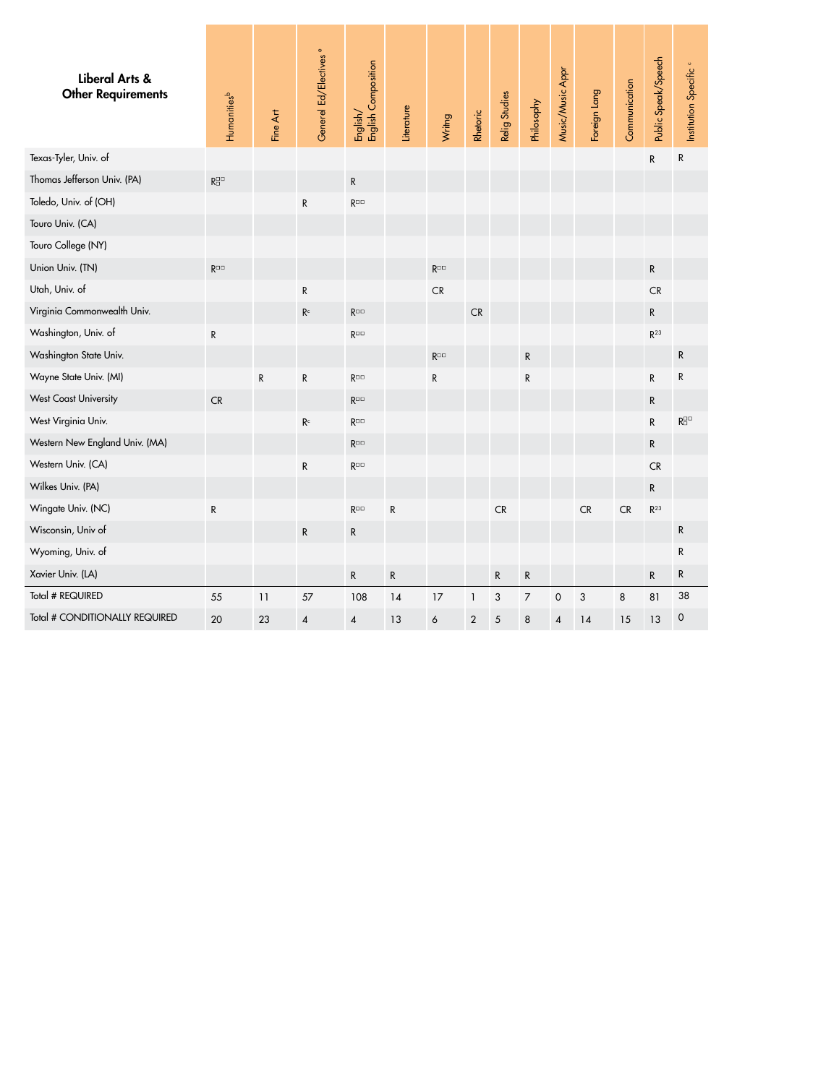<span id="page-15-0"></span>

| Liberal Arts &<br><b>Other Requirements</b> | Humanities <sup>b</sup>                 | Fine Art  | Generel Ed/Electives <sup>e</sup> | English/<br>English Composition | Literature | Wrimg                | Rhetoric    | Relig Studies | Philosophy     | Music/Music Appr    | Foreign Lang | Communication | Public Speak/Speech | Institution Specific <sup>®</sup>         |
|---------------------------------------------|-----------------------------------------|-----------|-----------------------------------|---------------------------------|------------|----------------------|-------------|---------------|----------------|---------------------|--------------|---------------|---------------------|-------------------------------------------|
| Texas-Tyler, Univ. of                       |                                         |           |                                   |                                 |            |                      |             |               |                |                     |              |               | ${\sf R}$           | $\mathsf{R}$                              |
| Thomas Jefferson Univ. (PA)                 | $\mathsf{R}^{\square\square}_{\square}$ |           |                                   | ${\sf R}$                       |            |                      |             |               |                |                     |              |               |                     |                                           |
| Toledo, Univ. of (OH)                       |                                         |           | R                                 | $R^{\Box\Box}$                  |            |                      |             |               |                |                     |              |               |                     |                                           |
| Touro Univ. (CA)                            |                                         |           |                                   |                                 |            |                      |             |               |                |                     |              |               |                     |                                           |
| Touro College (NY)                          |                                         |           |                                   |                                 |            |                      |             |               |                |                     |              |               |                     |                                           |
| Union Univ. (TN)                            | $R^{\Box\Box}$                          |           |                                   |                                 |            | $R^{\square\square}$ |             |               |                |                     |              |               | ${\sf R}$           |                                           |
| Utah, Univ. of                              |                                         |           | ${\sf R}$                         |                                 |            | CR                   |             |               |                |                     |              |               | CR                  |                                           |
| Virginia Commonwealth Univ.                 |                                         |           | $\mathsf{R}^\mathsf{c}$           | $R^{\Box\Box}$                  |            |                      | CR          |               |                |                     |              |               | ${\sf R}$           |                                           |
| Washington, Univ. of                        | ${\sf R}$                               |           |                                   | $R^{\Box\Box}$                  |            |                      |             |               |                |                     |              |               | $R^{23}$            |                                           |
| Washington State Univ.                      |                                         |           |                                   |                                 |            | $R^{\Box\Box}$       |             |               | R              |                     |              |               |                     | ${\sf R}$                                 |
| Wayne State Univ. (MI)                      |                                         | ${\sf R}$ | ${\sf R}$                         | $\mathsf{R}^{\square\square}$   |            | ${\sf R}$            |             |               | ${\sf R}$      |                     |              |               | ${\sf R}$           | R                                         |
| <b>West Coast University</b>                | CR                                      |           |                                   | $R^{\Box\Box}$                  |            |                      |             |               |                |                     |              |               | R                   |                                           |
| West Virginia Univ.                         |                                         |           | $\mathsf{R}^\mathsf{c}$           | $R^{\Box\Box}$                  |            |                      |             |               |                |                     |              |               | ${\sf R}$           | $\mathsf{R}^{\square\,\square}_{\square}$ |
| Western New England Univ. (MA)              |                                         |           |                                   | $R^{\Box\Box}$                  |            |                      |             |               |                |                     |              |               | $\mathsf{R}$        |                                           |
| Western Univ. (CA)                          |                                         |           | ${\sf R}$                         | $R^{\Box\Box}$                  |            |                      |             |               |                |                     |              |               | <b>CR</b>           |                                           |
| Wilkes Univ. (PA)                           |                                         |           |                                   |                                 |            |                      |             |               |                |                     |              |               | ${\sf R}$           |                                           |
| Wingate Univ. (NC)                          | ${\sf R}$                               |           |                                   | $R^{\Box\Box}$                  | ${\sf R}$  |                      |             | CR            |                |                     | CR           | CR            | $R^{23}$            |                                           |
| Wisconsin, Univ of                          |                                         |           | ${\sf R}$                         | ${\sf R}$                       |            |                      |             |               |                |                     |              |               |                     | ${\sf R}$                                 |
| Wyoming, Univ. of                           |                                         |           |                                   |                                 |            |                      |             |               |                |                     |              |               |                     | $\mathsf{R}$                              |
| Xavier Univ. (LA)                           |                                         |           |                                   | ${\sf R}$                       | ${\sf R}$  |                      |             | R             | ${\sf R}$      |                     |              |               | R                   | ${\sf R}$                                 |
| Total # REQUIRED                            | 55                                      | 11        | 57                                | 108                             | 14         | 17                   | $\mathbf 1$ | 3             | $\overline{7}$ | $\mathsf{O}\xspace$ | 3            | 8             | 81                  | 38                                        |
| Total # CONDITIONALLY REQUIRED              | 20                                      | 23        | 4                                 | $\pmb{4}$                       | 13         | $\boldsymbol{6}$     | $\sqrt{2}$  | $\sqrt{5}$    | 8              | 4                   | 14           | 15            | 13                  | $\mathsf{O}\xspace$                       |